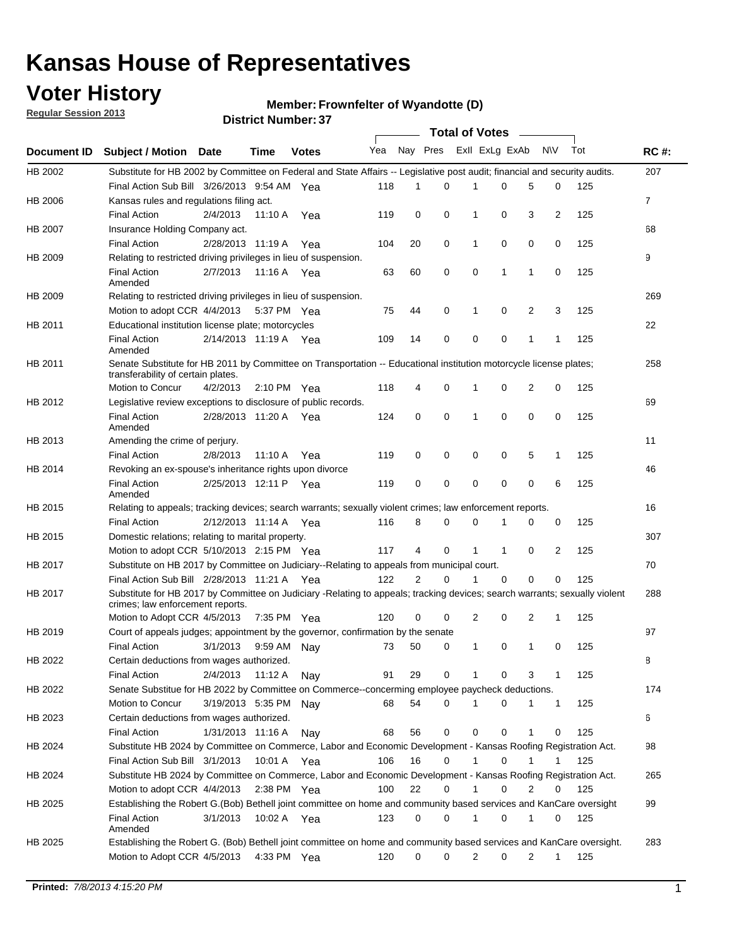## **Voter History**

**Member: Frownfelter of Wyandotte (D)** 

**Regular Session 2013**

|                    |                                                                                                                                                                |                       | <b>DISTRICT MAILINGL.</b> |              |     |          |          | Total of Votes – |              |                |              |     |                |
|--------------------|----------------------------------------------------------------------------------------------------------------------------------------------------------------|-----------------------|---------------------------|--------------|-----|----------|----------|------------------|--------------|----------------|--------------|-----|----------------|
| <b>Document ID</b> | <b>Subject / Motion Date</b>                                                                                                                                   |                       | Time                      | <b>Votes</b> | Yea | Nay Pres |          | Exll ExLg ExAb   |              |                | <b>NV</b>    | Tot | <b>RC#:</b>    |
| HB 2002            | Substitute for HB 2002 by Committee on Federal and State Affairs -- Legislative post audit; financial and security audits.                                     |                       |                           |              |     |          |          |                  |              |                |              |     | 207            |
|                    | Final Action Sub Bill 3/26/2013 9:54 AM Yea                                                                                                                    |                       |                           |              | 118 | 1        | $\Omega$ |                  | 0            | 5              | 0            | 125 |                |
| HB 2006            | Kansas rules and regulations filing act.                                                                                                                       |                       |                           |              |     |          |          |                  |              |                |              |     | $\overline{7}$ |
|                    | <b>Final Action</b>                                                                                                                                            | 2/4/2013              | 11:10 A                   | Yea          | 119 | 0        | 0        | $\mathbf 1$      | 0            | 3              | 2            | 125 |                |
| <b>HB 2007</b>     | Insurance Holding Company act.                                                                                                                                 |                       |                           |              |     |          |          |                  |              |                |              |     | 68             |
|                    | <b>Final Action</b>                                                                                                                                            | 2/28/2013 11:19 A     |                           | Yea          | 104 | 20       | 0        | 1                | 0            | 0              | 0            | 125 |                |
| HB 2009            | Relating to restricted driving privileges in lieu of suspension.                                                                                               |                       |                           |              |     |          |          |                  |              |                |              |     | 9              |
|                    | <b>Final Action</b><br>Amended                                                                                                                                 | 2/7/2013              | 11:16 A Yea               |              | 63  | 60       | 0        | $\mathbf 0$      | 1            | 1              | 0            | 125 |                |
| HB 2009            | Relating to restricted driving privileges in lieu of suspension.                                                                                               |                       |                           |              |     |          |          |                  |              |                |              |     | 269            |
|                    | Motion to adopt CCR 4/4/2013                                                                                                                                   |                       | 5:37 PM Yea               |              | 75  | 44       | 0        | 1                | 0            | 2              | 3            | 125 |                |
| HB 2011            | Educational institution license plate; motorcycles                                                                                                             |                       |                           |              |     |          |          |                  |              |                |              |     | 22             |
|                    | <b>Final Action</b><br>Amended                                                                                                                                 | 2/14/2013 11:19 A     |                           | Yea          | 109 | 14       | 0        | 0                | 0            | 1              | 1            | 125 |                |
| HB 2011            | Senate Substitute for HB 2011 by Committee on Transportation -- Educational institution motorcycle license plates;<br>transferability of certain plates.       |                       |                           |              |     |          |          |                  |              |                |              |     | 258            |
|                    | Motion to Concur                                                                                                                                               | 4/2/2013              | $2:10 \text{ PM}$ Yea     |              | 118 | 4        | 0        | 1                | 0            | $\overline{2}$ | 0            | 125 |                |
| HB 2012            | Legislative review exceptions to disclosure of public records.                                                                                                 |                       |                           |              |     |          |          |                  |              |                |              |     | 69             |
|                    | <b>Final Action</b><br>Amended                                                                                                                                 | 2/28/2013 11:20 A Yea |                           |              | 124 | 0        | 0        | 1                | 0            | 0              | 0            | 125 |                |
| HB 2013            | Amending the crime of perjury.                                                                                                                                 |                       |                           |              |     |          |          |                  |              |                |              |     | 11             |
|                    | <b>Final Action</b>                                                                                                                                            | 2/8/2013              | 11:10 A                   | Yea          | 119 | 0        | 0        | 0                | 0            | 5              | $\mathbf{1}$ | 125 |                |
| HB 2014            | Revoking an ex-spouse's inheritance rights upon divorce                                                                                                        |                       |                           |              |     |          |          |                  |              |                |              |     | 46             |
|                    | <b>Final Action</b><br>Amended                                                                                                                                 | 2/25/2013 12:11 P     |                           | Yea          | 119 | 0        | 0        | 0                | 0            | 0              | 6            | 125 |                |
| HB 2015            | Relating to appeals; tracking devices; search warrants; sexually violent crimes; law enforcement reports.                                                      |                       |                           |              |     |          |          |                  |              |                |              |     | 16             |
|                    | <b>Final Action</b>                                                                                                                                            | 2/12/2013 11:14 A     |                           | Yea          | 116 | 8        | 0        | 0                | 1            | 0              | 0            | 125 |                |
| HB 2015            | Domestic relations; relating to marital property.                                                                                                              |                       |                           |              |     |          |          |                  |              |                |              |     | 307            |
|                    | Motion to adopt CCR 5/10/2013 2:15 PM Yea                                                                                                                      |                       |                           |              | 117 | 4        | 0        | 1                | $\mathbf{1}$ | 0              | 2            | 125 |                |
| HB 2017            | Substitute on HB 2017 by Committee on Judiciary--Relating to appeals from municipal court.                                                                     |                       |                           |              |     |          |          |                  |              |                |              |     | 70             |
|                    | Final Action Sub Bill 2/28/2013 11:21 A Yea                                                                                                                    |                       |                           |              | 122 | 2        | 0        | 1                | 0            | $\Omega$       | 0            | 125 |                |
| HB 2017            | Substitute for HB 2017 by Committee on Judiciary -Relating to appeals; tracking devices; search warrants; sexually violent<br>crimes; law enforcement reports. |                       |                           |              |     |          |          |                  |              |                |              |     | 288            |
|                    | Motion to Adopt CCR 4/5/2013                                                                                                                                   |                       | 7:35 PM Yea               |              | 120 | 0        | 0        | 2                | 0            | 2              | 1            | 125 |                |
| HB 2019            | Court of appeals judges; appointment by the governor, confirmation by the senate                                                                               |                       |                           |              |     |          |          |                  |              |                |              |     | 97             |
|                    | <b>Final Action</b>                                                                                                                                            | 3/1/2013              | 9:59 AM Nay               |              | 73  | 50       | 0        | 1                | 0            | 1              | 0            | 125 |                |
| HB 2022            | Certain deductions from wages authorized.                                                                                                                      |                       |                           |              |     |          |          |                  |              |                |              |     | 8              |
|                    | <b>Final Action</b>                                                                                                                                            | 2/4/2013              | 11:12 A                   | Nay          | 91  | 29       | 0        |                  | 0            | 3              | 1            | 125 |                |
| HB 2022            | Senate Substitue for HB 2022 by Committee on Commerce--concerming employee paycheck deductions.                                                                |                       |                           |              |     |          |          |                  |              |                |              |     | 174            |
|                    | Motion to Concur                                                                                                                                               | 3/19/2013 5:35 PM     |                           | Nay          | 68  | 54       | 0        | 1                | 0            | 1              | $\mathbf{1}$ | 125 |                |
| HB 2023            | Certain deductions from wages authorized.                                                                                                                      |                       |                           |              |     |          |          |                  |              |                |              |     | 6              |
|                    | <b>Final Action</b>                                                                                                                                            | 1/31/2013 11:16 A     |                           | Nay          | 68  | 56       | 0        | 0                | 0            | 1              | 0            | 125 |                |
| HB 2024            | Substitute HB 2024 by Committee on Commerce, Labor and Economic Development - Kansas Roofing Registration Act.                                                 |                       |                           |              |     |          |          |                  |              |                |              |     | 98             |
|                    | Final Action Sub Bill 3/1/2013                                                                                                                                 |                       | 10:01 A                   | Yea          | 106 | 16       | 0        | 1                | 0            | 1              | 1            | 125 |                |
| HB 2024            | Substitute HB 2024 by Committee on Commerce, Labor and Economic Development - Kansas Roofing Registration Act.                                                 |                       |                           |              |     |          |          |                  |              |                |              |     | 265            |
|                    | Motion to adopt CCR 4/4/2013                                                                                                                                   |                       | $2:38$ PM Yea             |              | 100 | 22       | 0        | 1                | 0            | 2              | 0            | 125 |                |
| HB 2025            | Establishing the Robert G. (Bob) Bethell joint committee on home and community based services and KanCare oversight                                            |                       |                           |              |     |          |          |                  |              |                |              |     | 99             |
|                    | <b>Final Action</b><br>Amended                                                                                                                                 | 3/1/2013              | 10:02 A Yea               |              | 123 | 0        | 0        | 1                | 0            | 1              | 0            | 125 |                |
| HB 2025            | Establishing the Robert G. (Bob) Bethell joint committee on home and community based services and KanCare oversight.                                           |                       |                           |              |     |          |          |                  |              |                |              |     | 283            |
|                    | Motion to Adopt CCR 4/5/2013                                                                                                                                   |                       | 4:33 PM Yea               |              | 120 | 0        | 0        | $\overline{2}$   | 0            | 2              | $\mathbf{1}$ | 125 |                |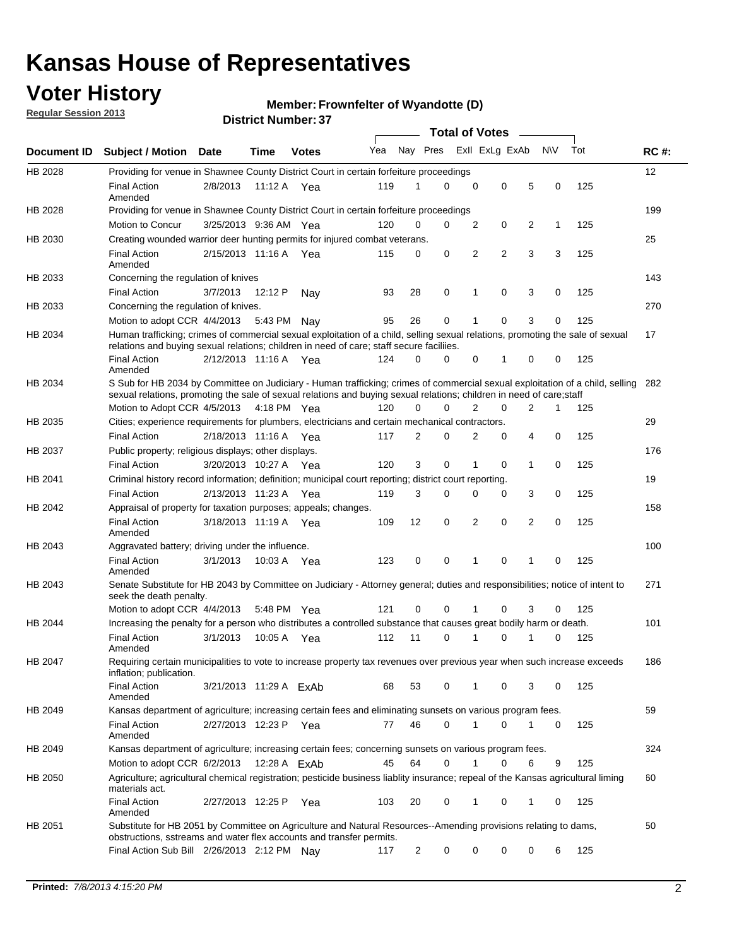## **Voter History**

**Regular Session 2013**

#### **Member: Frownfelter of Wyandotte (D)**

|                    |                                                                                                                                                                                                                                                        |                        |         |              |     |             | <b>Total of Votes</b> |                |                |   |           |     |             |
|--------------------|--------------------------------------------------------------------------------------------------------------------------------------------------------------------------------------------------------------------------------------------------------|------------------------|---------|--------------|-----|-------------|-----------------------|----------------|----------------|---|-----------|-----|-------------|
| <b>Document ID</b> | <b>Subject / Motion Date</b>                                                                                                                                                                                                                           |                        | Time    | <b>Votes</b> | Yea | Nay Pres    |                       |                | Exll ExLg ExAb |   | <b>NV</b> | Tot | <b>RC#:</b> |
| HB 2028            | Providing for venue in Shawnee County District Court in certain forfeiture proceedings                                                                                                                                                                 |                        |         |              |     |             |                       |                |                |   |           |     | 12          |
|                    | <b>Final Action</b><br>Amended                                                                                                                                                                                                                         | 2/8/2013               |         | 11:12 A Yea  | 119 | 1           | $\Omega$              | 0              | 0              | 5 | 0         | 125 |             |
| HB 2028            | Providing for venue in Shawnee County District Court in certain forfeiture proceedings                                                                                                                                                                 |                        |         |              |     |             |                       |                |                |   |           |     | 199         |
|                    | Motion to Concur                                                                                                                                                                                                                                       | 3/25/2013 9:36 AM Yea  |         |              | 120 | 0           | 0                     | 2              | 0              | 2 | 1         | 125 |             |
| HB 2030            | Creating wounded warrior deer hunting permits for injured combat veterans.                                                                                                                                                                             |                        |         |              |     |             |                       |                |                |   |           |     | 25          |
|                    | <b>Final Action</b><br>Amended                                                                                                                                                                                                                         | 2/15/2013 11:16 A      |         | Yea          | 115 | 0           | 0                     | 2              | 2              | 3 | 3         | 125 |             |
| HB 2033            | Concerning the regulation of knives                                                                                                                                                                                                                    |                        |         |              |     |             |                       |                |                |   |           |     | 143         |
|                    | <b>Final Action</b>                                                                                                                                                                                                                                    | 3/7/2013               | 12:12 P | Nav          | 93  | 28          | 0                     | 1              | 0              | 3 | 0         | 125 |             |
| HB 2033            | Concerning the regulation of knives.                                                                                                                                                                                                                   |                        |         |              |     |             |                       |                |                |   |           |     | 270         |
|                    | Motion to adopt CCR 4/4/2013                                                                                                                                                                                                                           |                        | 5:43 PM | Nav          | 95  | 26          | 0                     |                | 0              | 3 | 0         | 125 |             |
| HB 2034            | Human trafficking; crimes of commercial sexual exploitation of a child, selling sexual relations, promoting the sale of sexual<br>relations and buying sexual relations; children in need of care; staff secure faciliies.                             |                        |         |              |     |             |                       |                |                |   |           |     | 17          |
|                    | <b>Final Action</b><br>Amended                                                                                                                                                                                                                         | 2/12/2013 11:16 A Yea  |         |              | 124 | $\Omega$    | 0                     | 0              | 1              | 0 | 0         | 125 |             |
| HB 2034            | S Sub for HB 2034 by Committee on Judiciary - Human trafficking; crimes of commercial sexual exploitation of a child, selling<br>sexual relations, promoting the sale of sexual relations and buying sexual relations; children in need of care; staff |                        |         |              |     |             |                       |                |                |   |           |     | 282         |
|                    | Motion to Adopt CCR 4/5/2013 4:18 PM Yea                                                                                                                                                                                                               |                        |         |              | 120 | $\Omega$    | 0                     | 2              | 0              | 2 | 1         | 125 |             |
| HB 2035            | Cities; experience requirements for plumbers, electricians and certain mechanical contractors.                                                                                                                                                         |                        |         |              |     |             |                       |                |                |   |           |     | 29          |
|                    | <b>Final Action</b>                                                                                                                                                                                                                                    | 2/18/2013 11:16 A      |         | Yea          | 117 | 2           | 0                     | 2              | 0              | 4 | 0         | 125 |             |
| HB 2037            | Public property; religious displays; other displays.                                                                                                                                                                                                   |                        |         |              |     |             |                       |                |                |   |           |     | 176         |
|                    | <b>Final Action</b>                                                                                                                                                                                                                                    | 3/20/2013 10:27 A      |         | Yea          | 120 | 3           | 0                     | 1              | 0              | 1 | 0         | 125 |             |
| HB 2041            | Criminal history record information; definition; municipal court reporting; district court reporting.                                                                                                                                                  |                        |         |              |     |             |                       |                |                |   |           |     | 19          |
|                    | <b>Final Action</b>                                                                                                                                                                                                                                    | 2/13/2013 11:23 A      |         | Yea          | 119 | 3           | 0                     | 0              | 0              | 3 | 0         | 125 |             |
| HB 2042            | Appraisal of property for taxation purposes; appeals; changes.                                                                                                                                                                                         |                        |         |              |     |             |                       |                |                |   |           |     | 158         |
|                    | <b>Final Action</b><br>Amended                                                                                                                                                                                                                         | 3/18/2013 11:19 A      |         | Yea          | 109 | 12          | 0                     | $\overline{2}$ | 0              | 2 | 0         | 125 |             |
| HB 2043            | Aggravated battery; driving under the influence.                                                                                                                                                                                                       |                        |         |              |     |             |                       |                |                |   |           |     | 100         |
|                    | <b>Final Action</b><br>Amended                                                                                                                                                                                                                         | 3/1/2013               |         | 10:03 A Yea  | 123 | $\mathbf 0$ | 0                     | 1              | 0              |   | 0         | 125 |             |
| HB 2043            | Senate Substitute for HB 2043 by Committee on Judiciary - Attorney general; duties and responsibilities; notice of intent to<br>seek the death penalty.                                                                                                |                        |         |              |     |             |                       |                |                |   |           |     | 271         |
|                    | Motion to adopt CCR 4/4/2013                                                                                                                                                                                                                           |                        |         | 5:48 PM Yea  | 121 | 0           | 0                     |                | 0              | 3 | 0         | 125 |             |
| HB 2044            | Increasing the penalty for a person who distributes a controlled substance that causes great bodily harm or death.                                                                                                                                     |                        |         |              |     |             |                       |                |                |   |           |     | 101         |
|                    | <b>Final Action</b><br>Amended                                                                                                                                                                                                                         | 3/1/2013               | 10:05 A | Yea          | 112 | 11          | 0                     |                | 0              |   | 0         | 125 |             |
| HB 2047            | Requiring certain municipalities to vote to increase property tax revenues over previous year when such increase exceeds<br>inflation; publication.                                                                                                    |                        |         |              |     |             |                       |                |                |   |           |     | 186         |
|                    | <b>Final Action</b><br>Amended                                                                                                                                                                                                                         | 3/21/2013 11:29 A ExAb |         |              | 68  | 53          | 0                     |                | 0              | 3 | 0         | 125 |             |
| HB 2049            | Kansas department of agriculture; increasing certain fees and eliminating sunsets on various program fees.                                                                                                                                             |                        |         |              |     |             |                       |                |                |   |           |     | 59          |
|                    | Final Action<br>Amended                                                                                                                                                                                                                                | 2/27/2013 12:23 P Yea  |         |              | 77  | 46          | 0                     | 1              | 0              | 1 | 0         | 125 |             |
| HB 2049            | Kansas department of agriculture; increasing certain fees; concerning sunsets on various program fees.                                                                                                                                                 |                        |         |              |     |             |                       |                |                |   |           |     | 324         |
|                    | Motion to adopt CCR 6/2/2013                                                                                                                                                                                                                           |                        |         | 12:28 A ExAb | 45  | 64          | 0                     | 1              | 0              | 6 | 9         | 125 |             |
| HB 2050            | Agriculture; agricultural chemical registration; pesticide business liablity insurance; repeal of the Kansas agricultural liming<br>materials act.                                                                                                     |                        |         |              |     |             |                       |                |                |   |           |     | 60          |
|                    | <b>Final Action</b><br>Amended                                                                                                                                                                                                                         | 2/27/2013 12:25 P      |         | Yea          | 103 | 20          | 0                     | 1              | 0              | 1 | 0         | 125 |             |
| HB 2051            | Substitute for HB 2051 by Committee on Agriculture and Natural Resources--Amending provisions relating to dams,<br>obstructions, sstreams and water flex accounts and transfer permits.                                                                |                        |         |              |     |             |                       |                |                |   |           |     | 50          |
|                    | Final Action Sub Bill 2/26/2013 2:12 PM Nay                                                                                                                                                                                                            |                        |         |              | 117 | 2           | 0                     | 0              | 0              | 0 | 6         | 125 |             |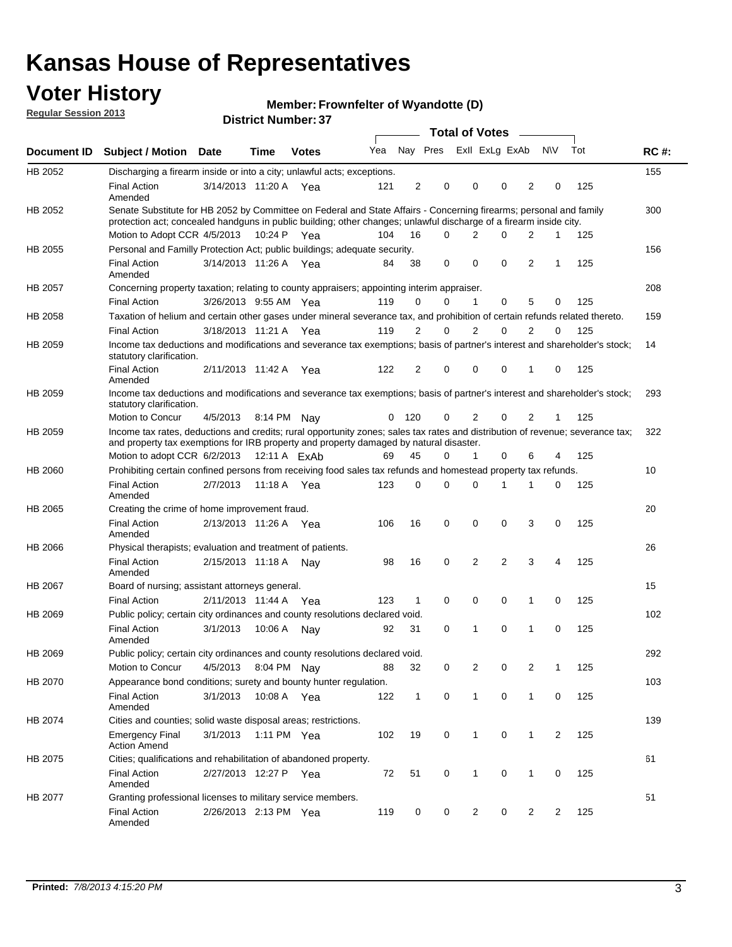## **Voter History**

**Member: Frownfelter of Wyandotte (D)** 

**Regular Session 2013**

|             |                                                                                                                                                                                                                                          |                       |             | וט ו ושנווווטרו ויטוווט |     |                |          | <b>Total of Votes</b> |                | $\sim$         |                |                |     |             |
|-------------|------------------------------------------------------------------------------------------------------------------------------------------------------------------------------------------------------------------------------------------|-----------------------|-------------|-------------------------|-----|----------------|----------|-----------------------|----------------|----------------|----------------|----------------|-----|-------------|
| Document ID | <b>Subject / Motion Date</b>                                                                                                                                                                                                             |                       | <b>Time</b> | <b>Votes</b>            | Yea |                | Nay Pres |                       | Exll ExLg ExAb |                |                | <b>NV</b>      | Tot | <b>RC#:</b> |
| HB 2052     | Discharging a firearm inside or into a city; unlawful acts; exceptions.                                                                                                                                                                  |                       |             |                         |     |                |          |                       |                |                |                |                |     | 155         |
|             | <b>Final Action</b><br>Amended                                                                                                                                                                                                           | 3/14/2013 11:20 A Yea |             |                         | 121 | $\overline{2}$ | 0        |                       | 0              | 0              | $\overline{2}$ | 0              | 125 |             |
| HB 2052     | Senate Substitute for HB 2052 by Committee on Federal and State Affairs - Concerning firearms; personal and family<br>protection act; concealed handguns in public building; other changes; unlawful discharge of a firearm inside city. |                       |             |                         |     |                |          |                       |                |                |                |                |     | 300         |
|             | Motion to Adopt CCR 4/5/2013 10:24 P Yea                                                                                                                                                                                                 |                       |             |                         | 104 | 16             | $\Omega$ |                       | 2              | 0              | 2              | 1              | 125 |             |
| HB 2055     | Personal and Familly Protection Act; public buildings; adequate security.                                                                                                                                                                |                       |             |                         |     |                |          |                       |                |                |                |                |     | 156         |
|             | <b>Final Action</b><br>Amended                                                                                                                                                                                                           | 3/14/2013 11:26 A Yea |             |                         | 84  | 38             | 0        |                       | 0              | 0              | 2              | 1              | 125 |             |
| HB 2057     | Concerning property taxation; relating to county appraisers; appointing interim appraiser.                                                                                                                                               |                       |             |                         |     |                |          |                       |                |                |                |                |     | 208         |
|             | <b>Final Action</b>                                                                                                                                                                                                                      | 3/26/2013 9:55 AM Yea |             |                         | 119 | 0              | 0        |                       | $\mathbf{1}$   | 0              | 5              | 0              | 125 |             |
| HB 2058     | Taxation of helium and certain other gases under mineral severance tax, and prohibition of certain refunds related thereto.                                                                                                              |                       |             |                         |     |                |          |                       |                |                |                |                |     | 159         |
|             | <b>Final Action</b>                                                                                                                                                                                                                      | 3/18/2013 11:21 A Yea |             |                         | 119 | 2              | 0        |                       | $\overline{2}$ | $\Omega$       | 2              | $\Omega$       | 125 |             |
| HB 2059     | Income tax deductions and modifications and severance tax exemptions; basis of partner's interest and shareholder's stock;<br>statutory clarification.                                                                                   |                       |             |                         |     |                |          |                       |                |                |                |                |     | 14          |
|             | <b>Final Action</b><br>Amended                                                                                                                                                                                                           | 2/11/2013 11:42 A     |             | Yea                     | 122 | 2              | 0        |                       | 0              | 0              | 1              | 0              | 125 |             |
| HB 2059     | Income tax deductions and modifications and severance tax exemptions; basis of partner's interest and shareholder's stock;<br>statutory clarification.                                                                                   |                       |             |                         |     |                |          |                       |                |                |                |                |     | 293         |
|             | <b>Motion to Concur</b>                                                                                                                                                                                                                  | 4/5/2013              | 8:14 PM     | Nav                     | 0   | 120            | 0        |                       | 2              | 0              | $\overline{2}$ | 1              | 125 |             |
| HB 2059     | Income tax rates, deductions and credits; rural opportunity zones; sales tax rates and distribution of revenue; severance tax;<br>and property tax exemptions for IRB property and property damaged by natural disaster.                 |                       |             |                         |     |                |          |                       |                |                |                |                |     | 322         |
|             | Motion to adopt CCR 6/2/2013                                                                                                                                                                                                             |                       |             | 12:11 A ExAb            | 69  | 45             | 0        |                       | $\mathbf{1}$   | $\Omega$       | 6              | 4              | 125 |             |
| HB 2060     | Prohibiting certain confined persons from receiving food sales tax refunds and homestead property tax refunds.                                                                                                                           |                       |             |                         |     |                |          |                       |                |                |                |                |     | 10          |
|             | <b>Final Action</b><br>Amended                                                                                                                                                                                                           | 2/7/2013              | 11:18 A     | Yea                     | 123 | $\mathbf 0$    | 0        |                       | $\Omega$       | 1              | 1              | 0              | 125 |             |
| HB 2065     | Creating the crime of home improvement fraud.                                                                                                                                                                                            |                       |             |                         |     |                |          |                       |                |                |                |                |     | 20          |
|             | <b>Final Action</b><br>Amended                                                                                                                                                                                                           | 2/13/2013 11:26 A Yea |             |                         | 106 | 16             | 0        |                       | $\mathbf 0$    | 0              | 3              | 0              | 125 |             |
| HB 2066     | Physical therapists; evaluation and treatment of patients.                                                                                                                                                                               |                       |             |                         |     |                |          |                       |                |                |                |                |     | 26          |
|             | <b>Final Action</b><br>Amended                                                                                                                                                                                                           | 2/15/2013 11:18 A     |             | Nav                     | 98  | 16             | 0        |                       | 2              | $\overline{2}$ | 3              | 4              | 125 |             |
| HB 2067     | Board of nursing; assistant attorneys general.                                                                                                                                                                                           |                       |             |                         |     |                |          |                       |                |                |                |                |     | 15          |
|             | <b>Final Action</b>                                                                                                                                                                                                                      | 2/11/2013 11:44 A Yea |             |                         | 123 | 1              | 0        |                       | 0              | 0              | 1              | 0              | 125 |             |
| HB 2069     | Public policy; certain city ordinances and county resolutions declared void.                                                                                                                                                             |                       |             |                         |     |                |          |                       |                |                |                |                |     | 102         |
|             | <b>Final Action</b><br>Amended                                                                                                                                                                                                           | 3/1/2013              | 10:06 A     | Nav                     | 92  | 31             | 0        |                       | 1              | $\Omega$       | 1              | $\mathbf 0$    | 125 |             |
| HB 2069     | Public policy; certain city ordinances and county resolutions declared void.                                                                                                                                                             |                       |             |                         |     |                |          |                       |                |                |                |                |     | 292         |
|             | <b>Motion to Concur</b>                                                                                                                                                                                                                  | 4/5/2013              |             | 8:04 PM Nay             | 88  | 32             | 0        |                       | 2              | 0              | $\overline{2}$ | 1              | 125 |             |
| HB 2070     | Appearance bond conditions; surety and bounty hunter regulation.                                                                                                                                                                         |                       |             |                         |     |                |          |                       |                |                |                |                |     | 103         |
|             | <b>Final Action</b><br>Amended                                                                                                                                                                                                           | 3/1/2013              |             | 10:08 A Yea             | 122 | $\mathbf{1}$   | 0        |                       | $\mathbf{1}$   | 0              | 1              | 0              | 125 |             |
| HB 2074     | Cities and counties; solid waste disposal areas; restrictions.                                                                                                                                                                           |                       |             |                         |     |                |          |                       |                |                |                |                |     | 139         |
|             | <b>Emergency Final</b><br><b>Action Amend</b>                                                                                                                                                                                            | 3/1/2013              |             | 1:11 PM Yea             | 102 | 19             | 0        |                       | 1              | 0              | 1              | $\overline{2}$ | 125 |             |
| HB 2075     | Cities; qualifications and rehabilitation of abandoned property.                                                                                                                                                                         |                       |             |                         |     |                |          |                       |                |                |                |                |     | 61          |
|             | <b>Final Action</b><br>Amended                                                                                                                                                                                                           | 2/27/2013 12:27 P     |             | Yea                     | 72  | 51             | 0        |                       | 1              | 0              | 1              | 0              | 125 |             |
| HB 2077     | Granting professional licenses to military service members.<br><b>Final Action</b><br>Amended                                                                                                                                            | 2/26/2013 2:13 PM Yea |             |                         | 119 | 0              | 0        |                       | $\overline{2}$ | 0              | $\overline{2}$ | 2              | 125 | 51          |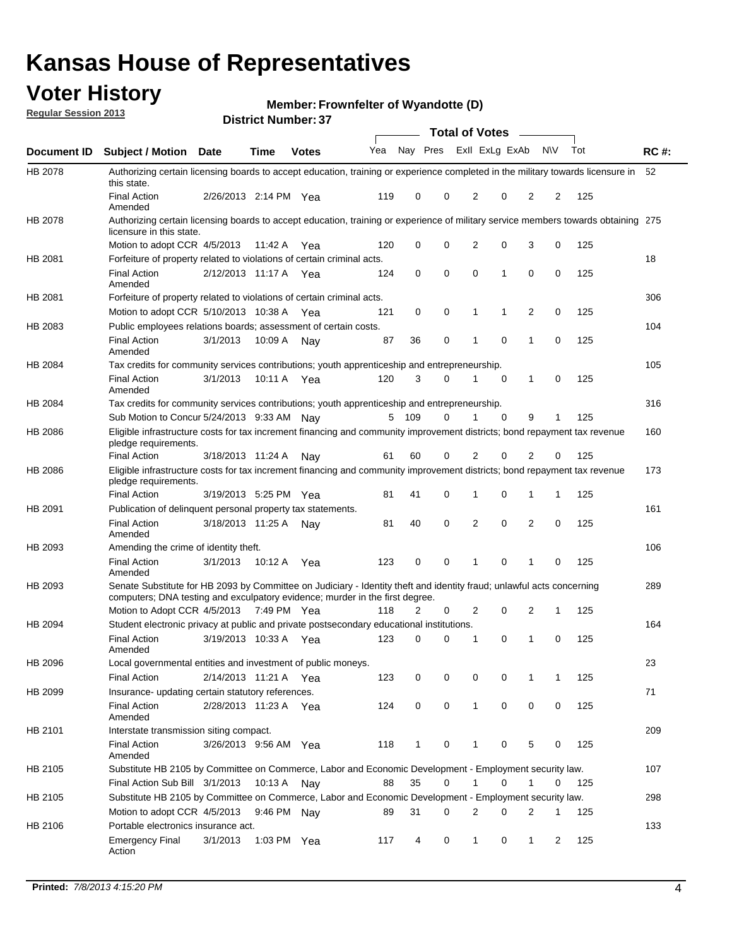## **Voter History**

**Member: Frownfelter of Wyandotte (D)** 

**Regular Session 2013**

|                    |                                                                                                                                                                                                       |                       |               | וט וסטוווטנו וזעוווט |              |                |   | <b>Total of Votes</b> |             | $\overline{\phantom{a}}$ |             |     |             |
|--------------------|-------------------------------------------------------------------------------------------------------------------------------------------------------------------------------------------------------|-----------------------|---------------|----------------------|--------------|----------------|---|-----------------------|-------------|--------------------------|-------------|-----|-------------|
| <b>Document ID</b> | <b>Subject / Motion Date</b>                                                                                                                                                                          |                       | <b>Time</b>   | <b>Votes</b>         | Yea Nay Pres |                |   | Exll ExLg ExAb        |             |                          | <b>NV</b>   | Tot | <b>RC#:</b> |
| HB 2078            | Authorizing certain licensing boards to accept education, training or experience completed in the military towards licensure in<br>this state.                                                        |                       |               |                      |              |                |   |                       |             |                          |             |     | 52          |
|                    | <b>Final Action</b><br>Amended                                                                                                                                                                        | 2/26/2013 2:14 PM Yea |               |                      | 119          | 0              | 0 | 2                     | 0           | 2                        | 2           | 125 |             |
| HB 2078            | Authorizing certain licensing boards to accept education, training or experience of military service members towards obtaining 275<br>licensure in this state.                                        |                       |               |                      |              |                |   |                       |             |                          |             |     |             |
|                    | Motion to adopt CCR 4/5/2013                                                                                                                                                                          |                       | 11:42 A       | Yea                  | 120          | 0              | 0 | $\overline{2}$        | 0           | 3                        | 0           | 125 |             |
| HB 2081            | Forfeiture of property related to violations of certain criminal acts.                                                                                                                                |                       |               |                      |              |                |   |                       |             |                          |             |     | 18          |
|                    | <b>Final Action</b><br>Amended                                                                                                                                                                        | 2/12/2013 11:17 A Yea |               |                      | 124          | 0              | 0 | $\Omega$              | 1           | 0                        | 0           | 125 |             |
| HB 2081            | Forfeiture of property related to violations of certain criminal acts.                                                                                                                                |                       |               |                      |              |                |   |                       |             |                          |             |     | 306         |
|                    | Motion to adopt CCR 5/10/2013 10:38 A                                                                                                                                                                 |                       |               | Yea                  | 121          | 0              | 0 | 1                     | 1           | 2                        | 0           | 125 |             |
| HB 2083            | Public employees relations boards; assessment of certain costs.                                                                                                                                       |                       |               |                      |              |                |   |                       |             |                          |             |     | 104         |
|                    | <b>Final Action</b><br>Amended                                                                                                                                                                        | 3/1/2013              | 10:09 A       | Nay                  | 87           | 36             | 0 | 1                     | $\mathbf 0$ | 1                        | $\mathbf 0$ | 125 |             |
| HB 2084            | Tax credits for community services contributions; youth apprenticeship and entrepreneurship.                                                                                                          |                       |               |                      |              |                |   |                       |             |                          |             |     | 105         |
|                    | <b>Final Action</b><br>Amended                                                                                                                                                                        | 3/1/2013              | 10:11 A       | Yea                  | 120          | 3              | 0 | 1                     | $\mathbf 0$ | 1                        | 0           | 125 |             |
| HB 2084            | Tax credits for community services contributions; youth apprenticeship and entrepreneurship.                                                                                                          |                       |               |                      |              |                |   |                       |             |                          |             |     | 316         |
|                    | Sub Motion to Concur 5/24/2013 9:33 AM Nav                                                                                                                                                            |                       |               |                      | 5            | - 109          | 0 |                       | 0           | 9                        | 1           | 125 |             |
| HB 2086            | Eligible infrastructure costs for tax increment financing and community improvement districts; bond repayment tax revenue<br>pledge requirements.                                                     |                       |               |                      |              |                |   |                       |             |                          |             |     | 160         |
|                    | <b>Final Action</b>                                                                                                                                                                                   | 3/18/2013 11:24 A     |               | Nav                  | 61           | 60             | 0 | 2                     | 0           | $\overline{2}$           | 0           | 125 |             |
| HB 2086            | Eligible infrastructure costs for tax increment financing and community improvement districts; bond repayment tax revenue<br>pledge requirements.                                                     |                       |               |                      |              |                |   |                       |             |                          |             |     | 173         |
|                    | <b>Final Action</b>                                                                                                                                                                                   | 3/19/2013 5:25 PM     |               | Yea                  | 81           | 41             | 0 | 1                     | 0           | 1                        | 1           | 125 |             |
| HB 2091            | Publication of delinquent personal property tax statements.                                                                                                                                           |                       |               |                      |              |                |   |                       |             |                          |             |     | 161         |
|                    | <b>Final Action</b><br>Amended                                                                                                                                                                        | 3/18/2013 11:25 A     |               | Nav                  | 81           | 40             | 0 | 2                     | 0           | $\overline{2}$           | 0           | 125 |             |
| HB 2093            | Amending the crime of identity theft.                                                                                                                                                                 |                       |               |                      |              |                |   |                       |             |                          |             |     | 106         |
|                    | <b>Final Action</b><br>Amended                                                                                                                                                                        | 3/1/2013              | 10:12 A       | Yea                  | 123          | 0              | 0 | 1                     | $\Omega$    | 1                        | 0           | 125 |             |
| HB 2093            | Senate Substitute for HB 2093 by Committee on Judiciary - Identity theft and identity fraud; unlawful acts concerning<br>computers; DNA testing and exculpatory evidence; murder in the first degree. |                       |               |                      |              |                |   |                       |             |                          |             |     | 289         |
|                    | Motion to Adopt CCR 4/5/2013 7:49 PM Yea                                                                                                                                                              |                       |               |                      | 118          | $\overline{2}$ | 0 | 2                     | 0           | 2                        | 1           | 125 |             |
| HB 2094            | Student electronic privacy at public and private postsecondary educational institutions.                                                                                                              |                       |               |                      |              |                |   |                       |             |                          |             |     | 164         |
|                    | <b>Final Action</b><br>Amended                                                                                                                                                                        | 3/19/2013 10:33 A     |               | Yea                  | 123          | 0              | 0 | 1                     | 0           | 1                        | 0           | 125 |             |
| HB 2096            | Local governmental entities and investment of public moneys.                                                                                                                                          |                       |               |                      |              |                |   |                       |             |                          |             |     | 23          |
|                    | <b>Final Action</b>                                                                                                                                                                                   | 2/14/2013 11:21 A     |               | Yea                  | 123          | 0              | 0 | 0                     | 0           | 1                        | 1           | 125 |             |
| HB 2099            | Insurance- updating certain statutory references.                                                                                                                                                     |                       |               |                      |              |                |   |                       |             |                          |             |     | 71          |
|                    | <b>Final Action</b><br>Amended                                                                                                                                                                        | 2/28/2013 11:23 A     |               | Yea                  | 124          | 0              | 0 | 1                     | 0           | 0                        | 0           | 125 |             |
| HB 2101            | Interstate transmission siting compact.                                                                                                                                                               |                       |               |                      |              |                |   |                       |             |                          |             |     | 209         |
|                    | <b>Final Action</b><br>Amended                                                                                                                                                                        | 3/26/2013 9:56 AM Yea |               |                      | 118          | $\mathbf{1}$   | 0 | 1                     | 0           | 5                        | 0           | 125 |             |
| HB 2105            | Substitute HB 2105 by Committee on Commerce, Labor and Economic Development - Employment security law.                                                                                                |                       |               |                      |              |                |   |                       |             |                          |             |     | 107         |
|                    | Final Action Sub Bill 3/1/2013                                                                                                                                                                        |                       | 10:13 A Nay   |                      | 88           | 35             | 0 |                       | 0           | 1                        | 0           | 125 |             |
| HB 2105            | Substitute HB 2105 by Committee on Commerce, Labor and Economic Development - Employment security law.                                                                                                |                       |               |                      |              |                |   |                       |             |                          |             |     | 298         |
|                    | Motion to adopt CCR 4/5/2013                                                                                                                                                                          |                       | 9:46 PM Nay   |                      | 89           | 31             | 0 | 2                     | 0           | 2                        | 1           | 125 |             |
| HB 2106            | Portable electronics insurance act.                                                                                                                                                                   |                       |               |                      |              |                |   |                       |             |                          |             |     | 133         |
|                    | <b>Emergency Final</b><br>Action                                                                                                                                                                      | 3/1/2013              | 1:03 PM $Yea$ |                      | 117          | 4              | 0 | $\mathbf{1}$          | 0           | 1                        | 2           | 125 |             |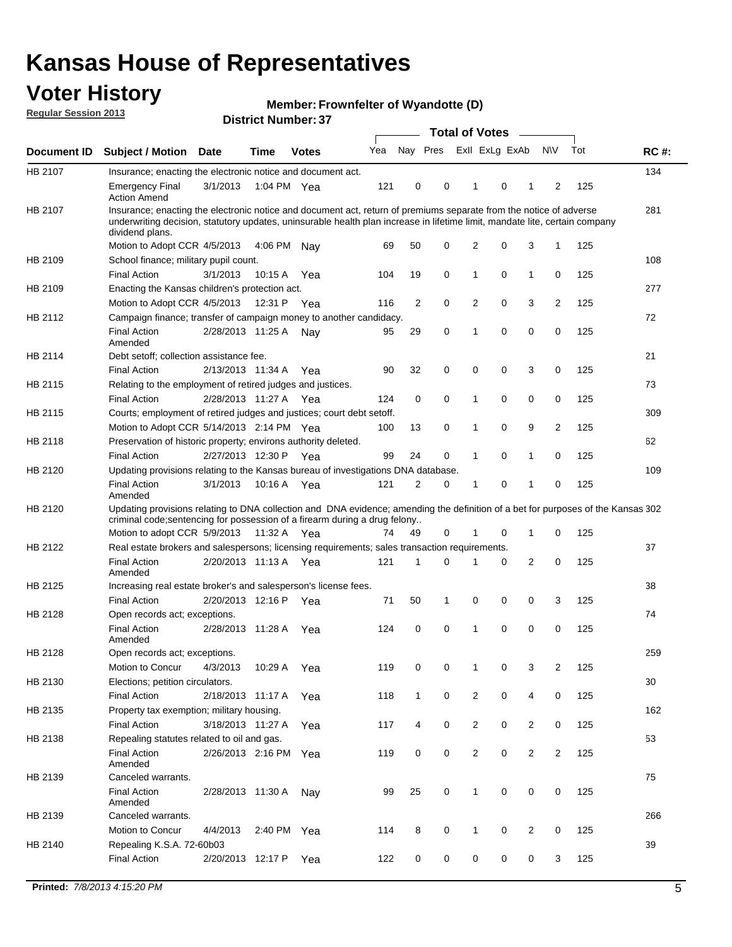## **Voter History**

**Member: Frownfelter of Wyandotte (D)** 

**Regular Session 2013**

|             |                                                                                                                                                                                                                                                                      |                       |             | וט הסעוווטרו ועוווסוע |     |                |             | <b>Total of Votes</b> |   | $\sim$         |                |     |             |
|-------------|----------------------------------------------------------------------------------------------------------------------------------------------------------------------------------------------------------------------------------------------------------------------|-----------------------|-------------|-----------------------|-----|----------------|-------------|-----------------------|---|----------------|----------------|-----|-------------|
| Document ID | <b>Subject / Motion Date</b>                                                                                                                                                                                                                                         |                       | <b>Time</b> | <b>Votes</b>          | Yea | Nay Pres       |             | Exll ExLg ExAb        |   |                | <b>NV</b>      | Tot | <b>RC#:</b> |
| HB 2107     | Insurance; enacting the electronic notice and document act.                                                                                                                                                                                                          |                       |             |                       |     |                |             |                       |   |                |                |     | 134         |
|             | <b>Emergency Final</b><br><b>Action Amend</b>                                                                                                                                                                                                                        | 3/1/2013              | 1:04 PM Yea |                       | 121 | 0              | 0           | 1                     | 0 | 1              | 2              | 125 |             |
| HB 2107     | Insurance; enacting the electronic notice and document act, return of premiums separate from the notice of adverse<br>underwriting decision, statutory updates, uninsurable health plan increase in lifetime limit, mandate lite, certain company<br>dividend plans. |                       |             |                       |     |                |             |                       |   |                |                |     | 281         |
|             | Motion to Adopt CCR 4/5/2013                                                                                                                                                                                                                                         |                       | 4:06 PM     | Nav                   | 69  | 50             | 0           | 2                     | 0 | 3              | $\mathbf{1}$   | 125 |             |
| HB 2109     | School finance; military pupil count.                                                                                                                                                                                                                                |                       |             |                       |     |                |             |                       |   |                |                |     | 108         |
|             | <b>Final Action</b>                                                                                                                                                                                                                                                  | 3/1/2013              | 10:15A      | Yea                   | 104 | 19             | 0           | 1                     | 0 | $\mathbf{1}$   | 0              | 125 |             |
| HB 2109     | Enacting the Kansas children's protection act.                                                                                                                                                                                                                       |                       |             |                       |     |                |             |                       |   |                |                |     | 277         |
|             | Motion to Adopt CCR 4/5/2013                                                                                                                                                                                                                                         |                       | 12:31 P     | Yea                   | 116 | $\overline{2}$ | 0           | 2                     | 0 | 3              | $\overline{2}$ | 125 |             |
| HB 2112     | Campaign finance; transfer of campaign money to another candidacy.                                                                                                                                                                                                   |                       |             |                       |     |                |             |                       |   |                |                |     | 72          |
|             | <b>Final Action</b><br>Amended                                                                                                                                                                                                                                       | 2/28/2013 11:25 A     |             | Nay                   | 95  | 29             | 0           | 1                     | 0 | 0              | 0              | 125 |             |
| HB 2114     | Debt setoff; collection assistance fee.                                                                                                                                                                                                                              |                       |             |                       |     |                |             |                       |   |                |                |     | 21          |
|             | <b>Final Action</b>                                                                                                                                                                                                                                                  | 2/13/2013 11:34 A     |             | Yea                   | 90  | 32             | 0           | 0                     | 0 | 3              | 0              | 125 |             |
| HB 2115     | Relating to the employment of retired judges and justices.                                                                                                                                                                                                           |                       |             |                       |     |                |             |                       |   |                |                |     | 73          |
|             | <b>Final Action</b>                                                                                                                                                                                                                                                  | 2/28/2013 11:27 A     |             | Yea                   | 124 | 0              | $\mathbf 0$ | 1                     | 0 | 0              | 0              | 125 |             |
| HB 2115     | Courts; employment of retired judges and justices; court debt setoff.                                                                                                                                                                                                |                       |             |                       |     |                |             |                       |   |                |                |     | 309         |
|             | Motion to Adopt CCR 5/14/2013 2:14 PM Yea                                                                                                                                                                                                                            |                       |             |                       | 100 | 13             | 0           | 1                     | 0 | 9              | $\overline{2}$ | 125 |             |
| HB 2118     | Preservation of historic property; environs authority deleted.                                                                                                                                                                                                       |                       |             |                       |     |                |             |                       |   |                |                |     | 62          |
|             | <b>Final Action</b>                                                                                                                                                                                                                                                  | 2/27/2013 12:30 P     |             | Yea                   | 99  | 24             | 0           | 1                     | 0 | $\mathbf{1}$   | 0              | 125 |             |
| HB 2120     | Updating provisions relating to the Kansas bureau of investigations DNA database.                                                                                                                                                                                    |                       |             |                       |     |                |             |                       |   |                |                |     | 109         |
|             | <b>Final Action</b><br>Amended                                                                                                                                                                                                                                       | 3/1/2013              | 10:16 A     | Yea                   | 121 | 2              | 0           | 1                     | 0 | 1              | 0              | 125 |             |
| HB 2120     | Updating provisions relating to DNA collection and DNA evidence; amending the definition of a bet for purposes of the Kansas 302<br>criminal code; sentencing for possession of a firearm during a drug felony                                                       |                       |             |                       |     |                |             |                       |   |                |                |     |             |
|             | Motion to adopt CCR 5/9/2013                                                                                                                                                                                                                                         |                       | 11:32 A Yea |                       | 74  | 49             | 0           |                       | 0 | 1              | 0              | 125 |             |
| HB 2122     | Real estate brokers and salespersons; licensing requirements; sales transaction requirements.                                                                                                                                                                        |                       |             |                       |     |                |             |                       |   |                |                |     | 37          |
|             | <b>Final Action</b><br>Amended                                                                                                                                                                                                                                       | 2/20/2013 11:13 A Yea |             |                       | 121 | 1              | 0           |                       | 0 | 2              | 0              | 125 |             |
| HB 2125     | Increasing real estate broker's and salesperson's license fees.                                                                                                                                                                                                      |                       |             |                       |     |                |             |                       |   |                |                |     | 38          |
|             | <b>Final Action</b>                                                                                                                                                                                                                                                  | 2/20/2013 12:16 P     |             | Yea                   | 71  | 50             | 1           | 0                     | 0 | 0              | 3              | 125 |             |
| HB 2128     | Open records act; exceptions.                                                                                                                                                                                                                                        |                       |             |                       |     |                |             |                       |   |                |                |     | 74          |
|             | <b>Final Action</b><br>Amended                                                                                                                                                                                                                                       | 2/28/2013 11:28 A     |             | Yea                   | 124 | 0              | 0           | 1                     | 0 | 0              | 0              | 125 |             |
| HB 2128     | Open records act; exceptions.                                                                                                                                                                                                                                        |                       |             |                       |     |                |             |                       |   |                |                |     | 259         |
|             | Motion to Concur                                                                                                                                                                                                                                                     | 4/3/2013              | 10:29 A     | Yea                   | 119 | 0              | 0           | 1                     | 0 | 3              | $\overline{2}$ | 125 |             |
| HB 2130     | Elections; petition circulators.                                                                                                                                                                                                                                     |                       |             |                       |     |                |             |                       |   |                |                |     | 30          |
|             | <b>Final Action</b>                                                                                                                                                                                                                                                  | 2/18/2013 11:17 A     |             | Yea                   | 118 | $\mathbf{1}$   | 0           | $\overline{c}$        | 0 | 4              | 0              | 125 |             |
| HB 2135     | Property tax exemption; military housing.                                                                                                                                                                                                                            |                       |             |                       |     |                |             |                       |   |                |                |     | 162         |
|             | <b>Final Action</b>                                                                                                                                                                                                                                                  | 3/18/2013 11:27 A     |             | Yea                   | 117 | 4              | 0           | $\overline{c}$        | 0 | $\overline{2}$ | 0              | 125 |             |
| HB 2138     | Repealing statutes related to oil and gas.                                                                                                                                                                                                                           |                       |             |                       |     |                |             |                       |   |                |                |     | 53          |
|             | <b>Final Action</b><br>Amended                                                                                                                                                                                                                                       | 2/26/2013 2:16 PM Yea |             |                       | 119 | 0              | 0           | 2                     | 0 | $\overline{2}$ | $\overline{2}$ | 125 |             |
| HB 2139     | Canceled warrants.                                                                                                                                                                                                                                                   |                       |             |                       |     |                |             |                       |   |                |                |     | 75          |
|             | <b>Final Action</b><br>Amended                                                                                                                                                                                                                                       | 2/28/2013 11:30 A     |             | Nay                   | 99  | 25             | 0           | 1                     | 0 | 0              | 0              | 125 |             |
| HB 2139     | Canceled warrants.                                                                                                                                                                                                                                                   |                       |             |                       |     |                |             |                       |   |                |                |     | 266         |
|             | Motion to Concur                                                                                                                                                                                                                                                     | 4/4/2013              | 2:40 PM     | Yea                   | 114 | 8              | 0           | 1                     | 0 | 2              | 0              | 125 |             |
| HB 2140     | Repealing K.S.A. 72-60b03                                                                                                                                                                                                                                            |                       |             |                       |     |                |             |                       |   |                |                |     | 39          |
|             | <b>Final Action</b>                                                                                                                                                                                                                                                  | 2/20/2013 12:17 P     |             | Yea                   | 122 | 0              | 0           | 0                     | 0 | 0              | 3              | 125 |             |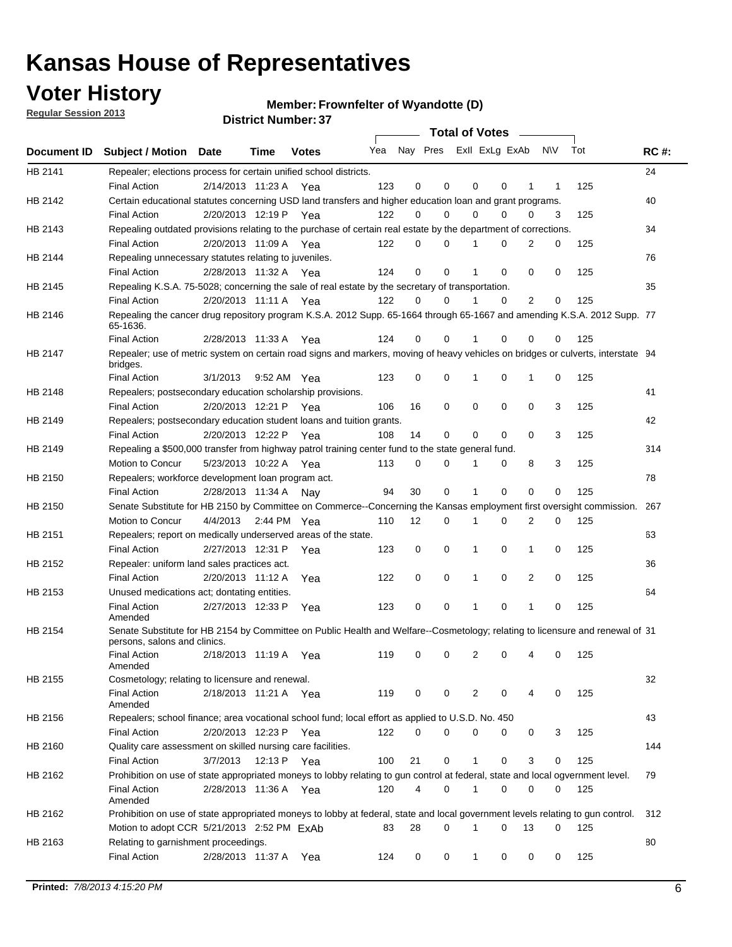**Voter History** 

**Member: Frownfelter of Wyandotte (D)** 

**Regular Session 2013**

|             |                                                                                                                                              |          |                       |              |     |    | <b>Total of Votes</b>   |              |   | $\overline{\phantom{0}}$ |     |     |             |
|-------------|----------------------------------------------------------------------------------------------------------------------------------------------|----------|-----------------------|--------------|-----|----|-------------------------|--------------|---|--------------------------|-----|-----|-------------|
| Document ID | <b>Subject / Motion Date</b>                                                                                                                 |          | Time                  | <b>Votes</b> | Yea |    | Nay Pres Exll ExLg ExAb |              |   |                          | N\V | Tot | <b>RC#:</b> |
| HB 2141     | Repealer; elections process for certain unified school districts.                                                                            |          |                       |              |     |    |                         |              |   |                          |     |     | 24          |
|             | <b>Final Action</b>                                                                                                                          |          | 2/14/2013 11:23 A     | Yea          | 123 | 0  | 0                       | 0            | 0 | 1                        | 1   | 125 |             |
| HB 2142     | Certain educational statutes concerning USD land transfers and higher education loan and grant programs.                                     |          |                       |              |     |    |                         |              |   |                          |     |     | 40          |
|             | <b>Final Action</b>                                                                                                                          |          | 2/20/2013 12:19 P     | Yea          | 122 | 0  | 0                       | 0            | 0 | 0                        | 3   | 125 |             |
| HB 2143     | Repealing outdated provisions relating to the purchase of certain real estate by the department of corrections.                              |          |                       |              |     |    |                         |              |   |                          |     |     | 34          |
|             | <b>Final Action</b>                                                                                                                          |          | 2/20/2013 11:09 A     | Yea          | 122 | 0  | 0                       |              | 0 | 2                        | 0   | 125 |             |
| HB 2144     | Repealing unnecessary statutes relating to juveniles.                                                                                        |          |                       |              |     |    |                         |              |   |                          |     |     | 76          |
|             | <b>Final Action</b>                                                                                                                          |          | 2/28/2013 11:32 A Yea |              | 124 | 0  | 0                       |              | 0 | 0                        | 0   | 125 |             |
| HB 2145     | Repealing K.S.A. 75-5028; concerning the sale of real estate by the secretary of transportation.                                             |          |                       |              |     |    |                         |              |   |                          |     |     | 35          |
|             | <b>Final Action</b>                                                                                                                          |          | 2/20/2013 11:11 A Yea |              | 122 | 0  | 0                       |              | 0 | 2                        | 0   | 125 |             |
| HB 2146     | Repealing the cancer drug repository program K.S.A. 2012 Supp. 65-1664 through 65-1667 and amending K.S.A. 2012 Supp. 77<br>65-1636.         |          |                       |              |     |    |                         |              |   |                          |     |     |             |
|             | <b>Final Action</b>                                                                                                                          |          | 2/28/2013 11:33 A     | Yea          | 124 | 0  | 0                       |              | 0 | 0                        | 0   | 125 |             |
| HB 2147     | Repealer; use of metric system on certain road signs and markers, moving of heavy vehicles on bridges or culverts, interstate 94<br>bridges. |          |                       |              |     |    |                         |              |   |                          |     |     |             |
|             | <b>Final Action</b>                                                                                                                          | 3/1/2013 |                       | 9:52 AM Yea  | 123 | 0  | 0                       | 1            | 0 | 1                        | 0   | 125 |             |
| HB 2148     | Repealers; postsecondary education scholarship provisions.                                                                                   |          |                       |              |     |    |                         |              |   |                          |     |     | 41          |
|             | <b>Final Action</b>                                                                                                                          |          | 2/20/2013 12:21 P Yea |              | 106 | 16 | 0                       | 0            | 0 | 0                        | 3   | 125 |             |
| HB 2149     | Repealers; postsecondary education student loans and tuition grants.                                                                         |          |                       |              |     |    |                         |              |   |                          |     |     | 42          |
|             | <b>Final Action</b>                                                                                                                          |          | 2/20/2013 12:22 P     | Yea          | 108 | 14 | 0                       | 0            | 0 | $\Omega$                 | 3   | 125 |             |
| HB 2149     | Repealing a \$500,000 transfer from highway patrol training center fund to the state general fund.                                           |          |                       |              |     |    |                         |              |   |                          |     |     | 314         |
|             | Motion to Concur                                                                                                                             |          | 5/23/2013 10:22 A Yea |              | 113 | 0  | 0                       |              | 0 | 8                        | 3   | 125 |             |
| HB 2150     | Repealers; workforce development loan program act.                                                                                           |          |                       |              |     |    |                         |              |   |                          |     |     | 78          |
|             | <b>Final Action</b>                                                                                                                          |          | 2/28/2013 11:34 A     | Nav          | 94  | 30 | 0                       | 1            | 0 | 0                        | 0   | 125 |             |
| HB 2150     | Senate Substitute for HB 2150 by Committee on Commerce--Concerning the Kansas employment first oversight commission.                         |          |                       |              |     |    |                         |              |   |                          |     |     | 267         |
|             | Motion to Concur                                                                                                                             | 4/4/2013 |                       | 2:44 PM Yea  | 110 | 12 | 0                       | 1            | 0 | 2                        | 0   | 125 |             |
| HB 2151     | Repealers; report on medically underserved areas of the state.                                                                               |          |                       |              |     |    |                         |              |   |                          |     |     | 63          |
|             | <b>Final Action</b>                                                                                                                          |          | 2/27/2013 12:31 P     | Yea          | 123 | 0  | 0                       | 1            | 0 | 1                        | 0   | 125 |             |
| HB 2152     | Repealer: uniform land sales practices act.                                                                                                  |          |                       |              |     |    |                         |              |   |                          |     |     | 36          |
|             | <b>Final Action</b>                                                                                                                          |          | 2/20/2013 11:12 A     | Yea          | 122 | 0  | 0                       | 1            | 0 | 2                        | 0   | 125 |             |
| HB 2153     | Unused medications act; dontating entities.                                                                                                  |          |                       |              |     |    |                         |              |   |                          |     |     | 64          |
|             | <b>Final Action</b><br>Amended                                                                                                               |          | 2/27/2013 12:33 P     | Yea          | 123 | 0  | 0                       | 1            | 0 | 1                        | 0   | 125 |             |
| HB 2154     | Senate Substitute for HB 2154 by Committee on Public Health and Welfare--Cosmetology; relating to licensure and renewal of 31                |          |                       |              |     |    |                         |              |   |                          |     |     |             |
|             | persons, salons and clinics.                                                                                                                 |          |                       |              |     |    |                         |              |   |                          |     |     |             |
|             | <b>Final Action</b><br>Amended                                                                                                               |          | 2/18/2013 11:19 A     | Yea          | 119 | 0  | 0                       | 2            | 0 | 4                        | 0   | 125 |             |
| HB 2155     | Cosmetology; relating to licensure and renewal.                                                                                              |          |                       |              |     |    |                         |              |   |                          |     |     | 32          |
|             | <b>Final Action</b><br>Amended                                                                                                               |          | 2/18/2013 11:21 A Yea |              | 119 | 0  | 0                       | 2            | 0 | 4                        | 0   | 125 |             |
| HB 2156     | Repealers; school finance; area vocational school fund; local effort as applied to U.S.D. No. 450                                            |          |                       |              |     |    |                         |              |   |                          |     |     | 43          |
|             | <b>Final Action</b>                                                                                                                          |          | 2/20/2013 12:23 P     | Yea          | 122 | 0  | $\Omega$                | 0            | 0 | 0                        | 3   | 125 |             |
| HB 2160     | Quality care assessment on skilled nursing care facilities.                                                                                  |          |                       |              |     |    |                         |              |   |                          |     |     | 144         |
|             | <b>Final Action</b>                                                                                                                          | 3/7/2013 |                       | 12:13 P Yea  | 100 | 21 | 0                       | $\mathbf 1$  | 0 | 3                        | 0   | 125 |             |
|             | Prohibition on use of state appropriated moneys to lobby relating to gun control at federal, state and local ogvernment level.               |          |                       |              |     |    |                         |              |   |                          |     |     |             |
| HB 2162     |                                                                                                                                              |          |                       |              |     | 4  |                         | 1            |   | 0                        |     |     | 79          |
|             | <b>Final Action</b><br>Amended                                                                                                               |          | 2/28/2013 11:36 A Yea |              | 120 |    | 0                       |              | 0 |                          | 0   | 125 |             |
| HB 2162     | Prohibition on use of state appropriated moneys to lobby at federal, state and local government levels relating to gun control.              |          |                       |              |     |    |                         |              | 0 |                          |     |     | 312         |
|             | Motion to adopt CCR 5/21/2013 2:52 PM ExAb                                                                                                   |          |                       |              | 83  | 28 | 0                       | 1            |   | 13                       | 0   | 125 |             |
| HB 2163     | Relating to garnishment proceedings.                                                                                                         |          |                       |              |     |    |                         |              |   |                          |     |     | 80          |
|             | <b>Final Action</b>                                                                                                                          |          | 2/28/2013 11:37 A Yea |              | 124 | 0  | 0                       | $\mathbf{1}$ | 0 | 0                        | 0   | 125 |             |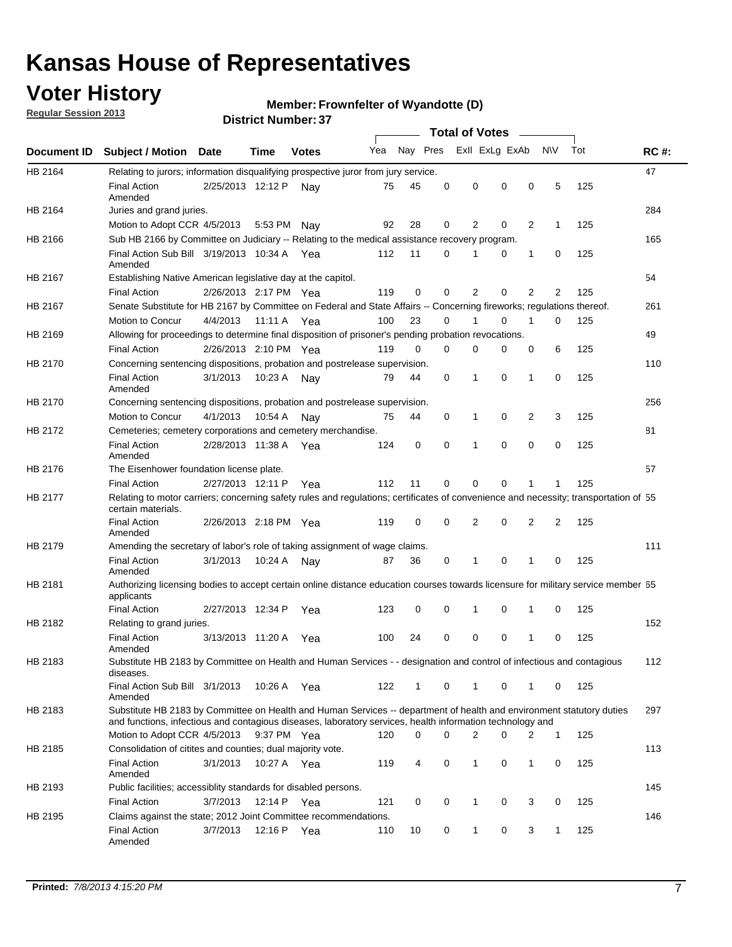## **Voter History**

**Regular Session 2013**

#### **Member: Frownfelter of Wyandotte (D)**

|             |                                                                                                                                                                                                                                    |                       |             |              |     |          | <b>Total of Votes</b> |                |   |                |                |                |     |             |
|-------------|------------------------------------------------------------------------------------------------------------------------------------------------------------------------------------------------------------------------------------|-----------------------|-------------|--------------|-----|----------|-----------------------|----------------|---|----------------|----------------|----------------|-----|-------------|
| Document ID | <b>Subject / Motion Date</b>                                                                                                                                                                                                       |                       | Time        | <b>Votes</b> | Yea | Nay Pres |                       |                |   | Exll ExLg ExAb |                | N\V            | Tot | <b>RC#:</b> |
| HB 2164     | Relating to jurors; information disqualifying prospective juror from jury service.                                                                                                                                                 |                       |             |              |     |          |                       |                |   |                |                |                |     | 47          |
|             | <b>Final Action</b><br>Amended                                                                                                                                                                                                     | 2/25/2013 12:12 P     |             | Nav          | 75  | 45       | 0                     | 0              |   | 0              | 0              | 5              | 125 |             |
| HB 2164     | Juries and grand juries.                                                                                                                                                                                                           |                       |             |              |     |          |                       |                |   |                |                |                |     | 284         |
|             | Motion to Adopt CCR 4/5/2013                                                                                                                                                                                                       |                       | 5:53 PM Nay |              | 92  | 28       | 0                     |                | 2 | 0              | 2              | $\mathbf{1}$   | 125 |             |
| HB 2166     | Sub HB 2166 by Committee on Judiciary -- Relating to the medical assistance recovery program.                                                                                                                                      |                       |             |              |     |          |                       |                |   |                |                |                |     | 165         |
|             | Final Action Sub Bill 3/19/2013 10:34 A Yea<br>Amended                                                                                                                                                                             |                       |             |              | 112 | 11       | 0                     | 1              |   | 0              | 1              | 0              | 125 |             |
| HB 2167     | Establishing Native American legislative day at the capitol.                                                                                                                                                                       |                       |             |              |     |          |                       |                |   |                |                |                |     | 54          |
|             | <b>Final Action</b>                                                                                                                                                                                                                | 2/26/2013 2:17 PM Yea |             |              | 119 | 0        | 0                     | 2              |   | 0              | $\overline{2}$ | $\overline{2}$ | 125 |             |
| HB 2167     | Senate Substitute for HB 2167 by Committee on Federal and State Affairs -- Concerning fireworks; regulations thereof.                                                                                                              |                       |             |              |     |          |                       |                |   |                |                |                |     | 261         |
|             | Motion to Concur                                                                                                                                                                                                                   | 4/4/2013 11:11 A Yea  |             |              | 100 | 23       | 0                     | 1              |   | 0              | 1              | $\Omega$       | 125 |             |
| HB 2169     | Allowing for proceedings to determine final disposition of prisoner's pending probation revocations.                                                                                                                               |                       |             |              |     |          |                       |                |   |                |                |                |     | 49          |
|             | <b>Final Action</b>                                                                                                                                                                                                                | 2/26/2013 2:10 PM Yea |             |              | 119 | $\Omega$ | 0                     | 0              |   | 0              | 0              | 6              | 125 |             |
| HB 2170     | Concerning sentencing dispositions, probation and postrelease supervision.                                                                                                                                                         |                       |             |              |     |          |                       |                |   |                |                |                |     | 110         |
|             | <b>Final Action</b><br>Amended                                                                                                                                                                                                     | 3/1/2013              | 10:23 A     | Nav          | 79  | 44       | 0                     | 1              |   | 0              | $\mathbf{1}$   | 0              | 125 |             |
| HB 2170     | Concerning sentencing dispositions, probation and postrelease supervision.                                                                                                                                                         |                       |             |              |     |          |                       |                |   |                |                |                |     | 256         |
|             | Motion to Concur                                                                                                                                                                                                                   | 4/1/2013              | 10:54 A     | Nav          | 75  | 44       | 0                     | 1              |   | 0              | $\overline{2}$ | 3              | 125 |             |
| HB 2172     | Cemeteries; cemetery corporations and cemetery merchandise.                                                                                                                                                                        |                       |             |              |     |          |                       |                |   |                |                |                |     | 81          |
|             | <b>Final Action</b><br>Amended                                                                                                                                                                                                     | 2/28/2013 11:38 A     |             | Yea          | 124 | 0        | 0                     | 1              |   | 0              | 0              | 0              | 125 |             |
| HB 2176     | The Eisenhower foundation license plate.                                                                                                                                                                                           |                       |             |              |     |          |                       |                |   |                |                |                |     | 57          |
|             | <b>Final Action</b>                                                                                                                                                                                                                | 2/27/2013 12:11 P     |             | Yea          | 112 | 11       | 0                     | 0              |   | 0              |                | 1              | 125 |             |
| HB 2177     | Relating to motor carriers; concerning safety rules and regulations; certificates of convenience and necessity; transportation of 55<br>certain materials.                                                                         |                       |             |              |     |          |                       |                |   |                |                |                |     |             |
|             | <b>Final Action</b><br>Amended                                                                                                                                                                                                     | 2/26/2013 2:18 PM Yea |             |              | 119 | 0        | 0                     | $\overline{2}$ |   | 0              | 2              | 2              | 125 |             |
| HB 2179     | Amending the secretary of labor's role of taking assignment of wage claims.                                                                                                                                                        |                       |             |              |     |          |                       |                |   |                |                |                |     | 111         |
|             | <b>Final Action</b><br>Amended                                                                                                                                                                                                     | 3/1/2013              | 10:24 A     | Nav          | 87  | 36       | 0                     | 1              |   | 0              | 1              | 0              | 125 |             |
| HB 2181     | Authorizing licensing bodies to accept certain online distance education courses towards licensure for military service member 55<br>applicants                                                                                    |                       |             |              |     |          |                       |                |   |                |                |                |     |             |
|             | <b>Final Action</b>                                                                                                                                                                                                                | 2/27/2013 12:34 P     |             | Yea          | 123 | 0        | 0                     | 1              |   | 0              | 1              | 0              | 125 |             |
| HB 2182     | Relating to grand juries.                                                                                                                                                                                                          |                       |             |              |     |          |                       |                |   |                |                |                |     | 152         |
|             | <b>Final Action</b><br>Amended                                                                                                                                                                                                     | 3/13/2013 11:20 A     |             | Yea          | 100 | 24       | 0                     | 0              |   | 0              | $\mathbf 1$    | 0              | 125 |             |
| HB 2183     | Substitute HB 2183 by Committee on Health and Human Services - - designation and control of infectious and contagious<br>diseases.                                                                                                 |                       |             |              |     |          |                       |                |   |                |                |                |     | 112         |
|             | Final Action Sub Bill 3/1/2013<br>Amended                                                                                                                                                                                          |                       | 10:26 A Yea |              | 122 | 1        | 0                     | $\mathbf{1}$   |   | 0              | $\mathbf{1}$   | 0              | 125 |             |
| HB 2183     | Substitute HB 2183 by Committee on Health and Human Services -- department of health and environment statutory duties<br>and functions, infectious and contagious diseases, laboratory services, health information technology and |                       |             |              |     |          |                       |                |   |                |                |                |     | 297         |
|             | Motion to Adopt CCR 4/5/2013                                                                                                                                                                                                       |                       | 9:37 PM Yea |              | 120 | 0        | 0                     |                | 2 | 0              | 2              | $\mathbf{1}$   | 125 |             |
| HB 2185     | Consolidation of citites and counties; dual majority vote.                                                                                                                                                                         |                       |             |              |     |          |                       |                |   |                |                |                |     | 113         |
|             | <b>Final Action</b><br>Amended                                                                                                                                                                                                     | 3/1/2013              | 10:27 A Yea |              | 119 | 4        | 0                     | 1              |   | 0              | 1              | 0              | 125 |             |
| HB 2193     | Public facilities; accessiblity standards for disabled persons.                                                                                                                                                                    |                       |             |              |     |          |                       |                |   |                |                |                |     | 145         |
|             | <b>Final Action</b>                                                                                                                                                                                                                | 3/7/2013              | 12:14 P Yea |              | 121 | 0        | 0                     | $\mathbf{1}$   |   | 0              | 3              | 0              | 125 |             |
| HB 2195     | Claims against the state; 2012 Joint Committee recommendations.                                                                                                                                                                    |                       |             |              |     |          |                       |                |   |                |                |                |     | 146         |
|             | <b>Final Action</b><br>Amended                                                                                                                                                                                                     | 3/7/2013              | 12:16 P Yea |              | 110 | 10       | 0                     | $\mathbf{1}$   |   | 0              | 3              | $\mathbf{1}$   | 125 |             |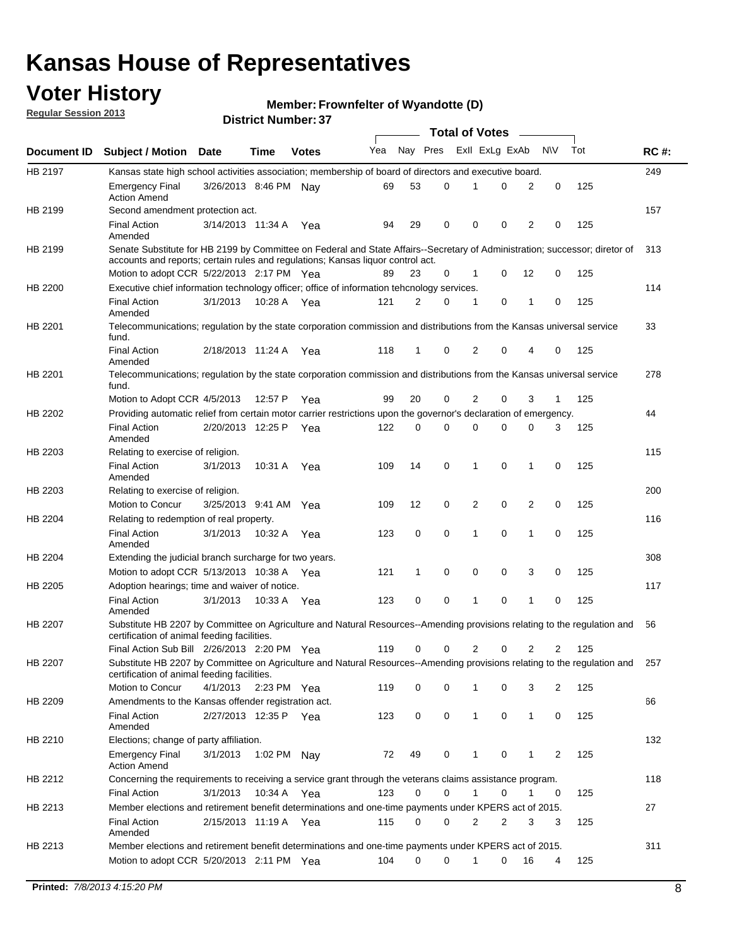## **Voter History**

**Member: Frownfelter of Wyandotte (D)** 

**Regular Session 2013**

|             |                                                                                                                                                                                                                |                       |             |              |     |              |             | <b>Total of Votes</b> |   | $\overline{\phantom{a}}$ |           |     |             |
|-------------|----------------------------------------------------------------------------------------------------------------------------------------------------------------------------------------------------------------|-----------------------|-------------|--------------|-----|--------------|-------------|-----------------------|---|--------------------------|-----------|-----|-------------|
| Document ID | <b>Subject / Motion Date</b>                                                                                                                                                                                   |                       | Time        | <b>Votes</b> | Yea | Nay Pres     |             | Exll ExLg ExAb        |   |                          | <b>NV</b> | Tot | <b>RC#:</b> |
| HB 2197     | Kansas state high school activities association; membership of board of directors and executive board.                                                                                                         |                       |             |              |     |              |             |                       |   |                          |           |     | 249         |
|             | Emergency Final<br><b>Action Amend</b>                                                                                                                                                                         | 3/26/2013 8:46 PM     |             | Nav          | 69  | 53           | 0           |                       | 0 | 2                        | 0         | 125 |             |
| HB 2199     | Second amendment protection act.                                                                                                                                                                               |                       |             |              |     |              |             |                       |   |                          |           |     | 157         |
|             | <b>Final Action</b><br>Amended                                                                                                                                                                                 | 3/14/2013 11:34 A     |             | Yea          | 94  | 29           | 0           | 0                     | 0 | 2                        | 0         | 125 |             |
| HB 2199     | Senate Substitute for HB 2199 by Committee on Federal and State Affairs--Secretary of Administration; successor; diretor of<br>accounts and reports; certain rules and regulations; Kansas liquor control act. |                       |             |              |     |              |             |                       |   |                          |           |     | 313         |
|             | Motion to adopt CCR 5/22/2013 2:17 PM Yea                                                                                                                                                                      |                       |             |              | 89  | 23           | 0           | 1                     | 0 | 12                       | 0         | 125 |             |
| HB 2200     | Executive chief information technology officer; office of information tehcnology services.                                                                                                                     |                       |             |              |     |              |             |                       |   |                          |           |     | 114         |
|             | <b>Final Action</b><br>Amended                                                                                                                                                                                 | 3/1/2013              | 10:28 A     | Yea          | 121 | 2            | 0           | 1                     | 0 | 1                        | 0         | 125 |             |
| HB 2201     | Telecommunications; regulation by the state corporation commission and distributions from the Kansas universal service<br>fund.                                                                                |                       |             |              |     |              |             |                       |   |                          |           |     | 33          |
|             | <b>Final Action</b><br>Amended                                                                                                                                                                                 | 2/18/2013 11:24 A Yea |             |              | 118 | 1            | 0           | 2                     | 0 | 4                        | 0         | 125 |             |
| HB 2201     | Telecommunications; regulation by the state corporation commission and distributions from the Kansas universal service<br>fund.                                                                                |                       |             |              |     |              |             |                       |   |                          |           |     | 278         |
|             | Motion to Adopt CCR 4/5/2013                                                                                                                                                                                   |                       | 12:57 P     | Yea          | 99  | 20           | 0           | 2                     | 0 | 3                        | 1         | 125 |             |
| HB 2202     | Providing automatic relief from certain motor carrier restrictions upon the governor's declaration of emergency.                                                                                               |                       |             |              |     |              |             |                       |   |                          |           |     | 44          |
|             | <b>Final Action</b><br>Amended                                                                                                                                                                                 | 2/20/2013 12:25 P     |             | Yea          | 122 | 0            | $\Omega$    | 0                     | 0 | 0                        | 3         | 125 |             |
| HB 2203     | Relating to exercise of religion.                                                                                                                                                                              |                       |             |              |     |              |             |                       |   |                          |           |     | 115         |
|             | <b>Final Action</b><br>Amended                                                                                                                                                                                 | 3/1/2013              | 10:31 A     | Yea          | 109 | 14           | 0           | 1                     | 0 | 1                        | 0         | 125 |             |
| HB 2203     | Relating to exercise of religion.                                                                                                                                                                              |                       |             |              |     |              |             |                       |   |                          |           |     | 200         |
|             | Motion to Concur                                                                                                                                                                                               | 3/25/2013 9:41 AM     |             | Yea          | 109 | 12           | 0           | 2                     | 0 | 2                        | 0         | 125 |             |
| HB 2204     | Relating to redemption of real property.                                                                                                                                                                       |                       |             |              |     |              |             |                       |   |                          |           |     | 116         |
|             | <b>Final Action</b><br>Amended                                                                                                                                                                                 | 3/1/2013              | 10:32 A     | Yea          | 123 | 0            | $\mathbf 0$ | 1                     | 0 | 1                        | 0         | 125 |             |
| HB 2204     | Extending the judicial branch surcharge for two years.                                                                                                                                                         |                       |             |              |     |              |             |                       |   |                          |           |     | 308         |
|             | Motion to adopt CCR 5/13/2013 10:38 A Yea                                                                                                                                                                      |                       |             |              | 121 | $\mathbf{1}$ | 0           | 0                     | 0 | 3                        | 0         | 125 |             |
| HB 2205     | Adoption hearings; time and waiver of notice.                                                                                                                                                                  |                       |             |              |     |              |             |                       |   |                          |           |     | 117         |
|             | <b>Final Action</b><br>Amended                                                                                                                                                                                 | 3/1/2013              | 10:33 A Yea |              | 123 | 0            | 0           | 1                     | 0 | 1                        | 0         | 125 |             |
| HB 2207     | Substitute HB 2207 by Committee on Agriculture and Natural Resources--Amending provisions relating to the regulation and<br>certification of animal feeding facilities.                                        |                       |             |              |     |              |             |                       |   |                          |           |     | 56          |
|             | Final Action Sub Bill 2/26/2013 2:20 PM Yea                                                                                                                                                                    |                       |             |              | 119 | 0            | 0           | 2                     | 0 | 2                        | 2         | 125 |             |
| HB 2207     | Substitute HB 2207 by Committee on Agriculture and Natural Resources--Amending provisions relating to the regulation and 257<br>certification of animal feeding facilities.                                    |                       |             |              |     |              |             |                       |   |                          |           |     |             |
|             | Motion to Concur                                                                                                                                                                                               | 4/1/2013              | 2:23 PM Yea |              | 119 | 0            | 0           | 1                     | 0 | 3                        | 2         | 125 |             |
| HB 2209     | Amendments to the Kansas offender registration act.                                                                                                                                                            |                       |             |              |     |              |             |                       |   |                          |           |     | 66          |
|             | <b>Final Action</b><br>Amended                                                                                                                                                                                 | 2/27/2013 12:35 P Yea |             |              | 123 | 0            | 0           | $\mathbf{1}$          | 0 | $\mathbf{1}$             | 0         | 125 |             |
| HB 2210     | Elections; change of party affiliation.                                                                                                                                                                        |                       |             |              |     |              |             |                       |   |                          |           |     | 132         |
|             | <b>Emergency Final</b><br><b>Action Amend</b>                                                                                                                                                                  | 3/1/2013              | 1:02 PM Nay |              | 72  | 49           | 0           | 1                     | 0 | 1                        | 2         | 125 |             |
| HB 2212     | Concerning the requirements to receiving a service grant through the veterans claims assistance program.                                                                                                       |                       |             |              |     |              |             |                       |   |                          |           |     | 118         |
|             | <b>Final Action</b>                                                                                                                                                                                            | 3/1/2013              | 10:34 A Yea |              | 123 | 0            | 0           | $\mathbf{1}$          | 0 | $\mathbf{1}$             | 0         | 125 |             |
| HB 2213     | Member elections and retirement benefit determinations and one-time payments under KPERS act of 2015.                                                                                                          |                       |             |              |     |              |             |                       |   |                          |           |     | 27          |
|             | <b>Final Action</b><br>Amended                                                                                                                                                                                 | 2/15/2013 11:19 A Yea |             |              | 115 | 0            | 0           | 2                     | 2 | 3                        | 3         | 125 |             |
| HB 2213     | Member elections and retirement benefit determinations and one-time payments under KPERS act of 2015.                                                                                                          |                       |             |              |     |              |             |                       |   |                          |           |     | 311         |
|             | Motion to adopt CCR 5/20/2013 2:11 PM Yea                                                                                                                                                                      |                       |             |              | 104 | 0            | $\Omega$    | 1                     | 0 | 16                       | 4         | 125 |             |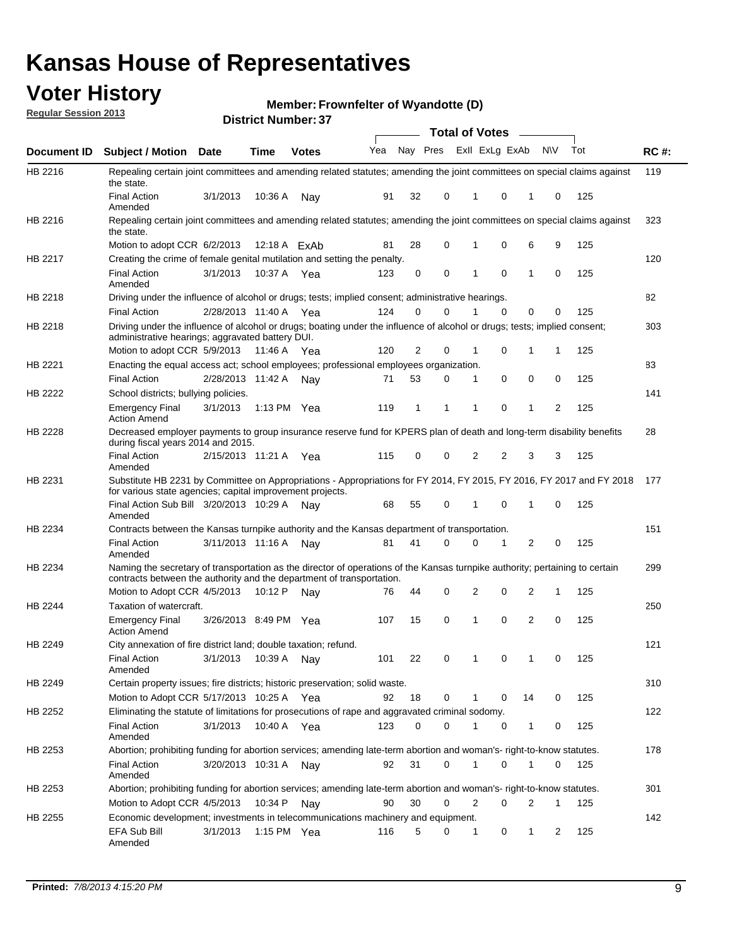## **Voter History**

**Member: Frownfelter of Wyandotte (D)** 

**Regular Session 2013**

|                    |                                                                                                                                                                                                       |                       |             | וט וסטווושנו ואווסוש |     |              |          | <b>Total of Votes</b> |                         | $\overline{\phantom{a}}$ |           |     |             |
|--------------------|-------------------------------------------------------------------------------------------------------------------------------------------------------------------------------------------------------|-----------------------|-------------|----------------------|-----|--------------|----------|-----------------------|-------------------------|--------------------------|-----------|-----|-------------|
| <b>Document ID</b> | <b>Subject / Motion</b>                                                                                                                                                                               | Date                  | Time        | <b>Votes</b>         | Yea |              |          |                       | Nay Pres Exll ExLg ExAb |                          | <b>NV</b> | Tot | <b>RC#:</b> |
| HB 2216            | Repealing certain joint committees and amending related statutes; amending the joint committees on special claims against<br>the state.                                                               |                       |             |                      |     |              |          |                       |                         |                          |           |     | 119         |
|                    | <b>Final Action</b><br>Amended                                                                                                                                                                        | 3/1/2013              | 10:36 A     | Nay                  | 91  | 32           | 0        | 1                     | 0                       | 1                        | 0         | 125 |             |
| HB 2216            | Repealing certain joint committees and amending related statutes; amending the joint committees on special claims against<br>the state.                                                               |                       |             |                      |     |              |          |                       |                         |                          |           |     | 323         |
|                    | Motion to adopt CCR 6/2/2013                                                                                                                                                                          |                       |             | 12:18 A ExAb         | 81  | 28           | 0        | 1                     | 0                       | 6                        | 9         | 125 |             |
| <b>HB 2217</b>     | Creating the crime of female genital mutilation and setting the penalty.                                                                                                                              |                       |             |                      |     |              |          |                       |                         |                          |           |     | 120         |
|                    | <b>Final Action</b><br>Amended                                                                                                                                                                        | 3/1/2013              | 10:37 A Yea |                      | 123 | 0            | 0        | 1                     | $\mathbf 0$             | $\mathbf{1}$             | 0         | 125 |             |
| HB 2218            | Driving under the influence of alcohol or drugs; tests; implied consent; administrative hearings.                                                                                                     |                       |             |                      |     |              |          |                       |                         |                          |           |     | 82          |
|                    | <b>Final Action</b>                                                                                                                                                                                   | 2/28/2013 11:40 A Yea |             |                      | 124 | 0            | 0        | 1                     | $\Omega$                | 0                        | 0         | 125 |             |
| HB 2218            | Driving under the influence of alcohol or drugs; boating under the influence of alcohol or drugs; tests; implied consent;<br>administrative hearings; aggravated battery DUI.                         |                       |             |                      |     |              |          |                       |                         |                          |           |     | 303         |
|                    | Motion to adopt CCR 5/9/2013                                                                                                                                                                          |                       | 11:46 A Yea |                      | 120 | 2            | 0        | 1                     | 0                       | 1                        | 1         | 125 |             |
| HB 2221            | Enacting the equal access act; school employees; professional employees organization.                                                                                                                 |                       |             |                      |     |              |          |                       |                         |                          |           |     | 83          |
|                    | <b>Final Action</b>                                                                                                                                                                                   | 2/28/2013 11:42 A     |             | Nav                  | 71  | 53           | 0        | 1                     | 0                       | 0                        | 0         | 125 |             |
| HB 2222            | School districts; bullying policies.<br><b>Emergency Final</b>                                                                                                                                        | 3/1/2013              | 1:13 PM Yea |                      | 119 | $\mathbf{1}$ | 1        | 1                     | 0                       | $\mathbf{1}$             | 2         | 125 | 141         |
|                    | <b>Action Amend</b>                                                                                                                                                                                   |                       |             |                      |     |              |          |                       |                         |                          |           |     |             |
| HB 2228            | Decreased employer payments to group insurance reserve fund for KPERS plan of death and long-term disability benefits<br>during fiscal years 2014 and 2015.                                           |                       |             |                      |     |              |          |                       |                         |                          |           |     | 28          |
|                    | <b>Final Action</b><br>Amended                                                                                                                                                                        | 2/15/2013 11:21 A Yea |             |                      | 115 | 0            | 0        | 2                     | 2                       | 3                        | 3         | 125 |             |
| HB 2231            | Substitute HB 2231 by Committee on Appropriations - Appropriations for FY 2014, FY 2015, FY 2016, FY 2017 and FY 2018<br>for various state agencies; capital improvement projects.                    |                       |             |                      |     |              |          |                       |                         |                          |           |     | 177         |
|                    | Final Action Sub Bill 3/20/2013 10:29 A<br>Amended                                                                                                                                                    |                       |             | Nav                  | 68  | 55           | 0        |                       | 0                       | 1                        | 0         | 125 |             |
| HB 2234            | Contracts between the Kansas turnpike authority and the Kansas department of transportation.                                                                                                          |                       |             |                      |     |              |          |                       |                         |                          |           |     | 151         |
|                    | <b>Final Action</b><br>Amended                                                                                                                                                                        | 3/11/2013 11:16 A     |             | Nav                  | 81  | 41           | $\Omega$ | 0                     | 1                       | $\overline{2}$           | 0         | 125 |             |
| HB 2234            | Naming the secretary of transportation as the director of operations of the Kansas turnpike authority; pertaining to certain<br>contracts between the authority and the department of transportation. |                       |             |                      |     |              |          |                       |                         |                          |           |     | 299         |
|                    | Motion to Adopt CCR 4/5/2013                                                                                                                                                                          |                       | 10:12 P     | Nav                  | 76  | 44           | 0        | 2                     | 0                       | 2                        | 1         | 125 |             |
| HB 2244            | Taxation of watercraft.<br><b>Emergency Final</b>                                                                                                                                                     | 3/26/2013 8:49 PM Yea |             |                      | 107 | 15           | 0        | 1                     | 0                       | 2                        | 0         | 125 | 250         |
|                    | <b>Action Amend</b>                                                                                                                                                                                   |                       |             |                      |     |              |          |                       |                         |                          |           |     |             |
| HB 2249            | City annexation of fire district land; double taxation; refund.                                                                                                                                       |                       |             |                      |     |              |          |                       |                         |                          |           |     | 121         |
|                    | Final Action 3/1/2013 10:39 A Nay<br>Amended                                                                                                                                                          |                       |             |                      | 101 | 22           | 0        | $\mathbf{1}$          | 0                       | $\mathbf{1}$             | 0         | 125 |             |
| HB 2249            | Certain property issues; fire districts; historic preservation; solid waste.                                                                                                                          |                       |             |                      |     |              |          |                       |                         |                          |           |     | 310         |
|                    | Motion to Adopt CCR 5/17/2013 10:25 A Yea                                                                                                                                                             |                       |             |                      | 92  | 18           | 0        | 1                     | 0                       | 14                       | 0         | 125 |             |
| HB 2252            | Eliminating the statute of limitations for prosecutions of rape and aggravated criminal sodomy.                                                                                                       |                       |             |                      |     |              |          |                       |                         |                          |           |     | 122         |
|                    | <b>Final Action</b><br>Amended                                                                                                                                                                        | 3/1/2013              | 10:40 A Yea |                      | 123 | 0            | 0        | 1                     | 0                       | $\mathbf{1}$             | 0         | 125 |             |
| HB 2253            | Abortion; prohibiting funding for abortion services; amending late-term abortion and woman's- right-to-know statutes.                                                                                 |                       |             |                      |     |              |          |                       |                         |                          |           |     | 178         |
|                    | <b>Final Action</b><br>Amended                                                                                                                                                                        | 3/20/2013 10:31 A     |             | Nav                  | 92  | 31           | 0        | 1                     | 0                       | 1                        | 0         | 125 |             |
| HB 2253            | Abortion; prohibiting funding for abortion services; amending late-term abortion and woman's- right-to-know statutes.                                                                                 |                       |             |                      |     |              |          |                       |                         |                          |           |     | 301         |
|                    | Motion to Adopt CCR 4/5/2013                                                                                                                                                                          |                       | 10:34 P     | Nav                  | 90  | 30           | 0        | 2                     | 0                       | 2                        | 1         | 125 |             |
| HB 2255            | Economic development; investments in telecommunications machinery and equipment.                                                                                                                      |                       |             |                      |     |              |          |                       |                         |                          |           |     | 142         |
|                    | EFA Sub Bill<br>Amended                                                                                                                                                                               | 3/1/2013              |             | 1:15 PM Yea          | 116 | 5            | 0        | 1                     | 0                       | 1                        | 2         | 125 |             |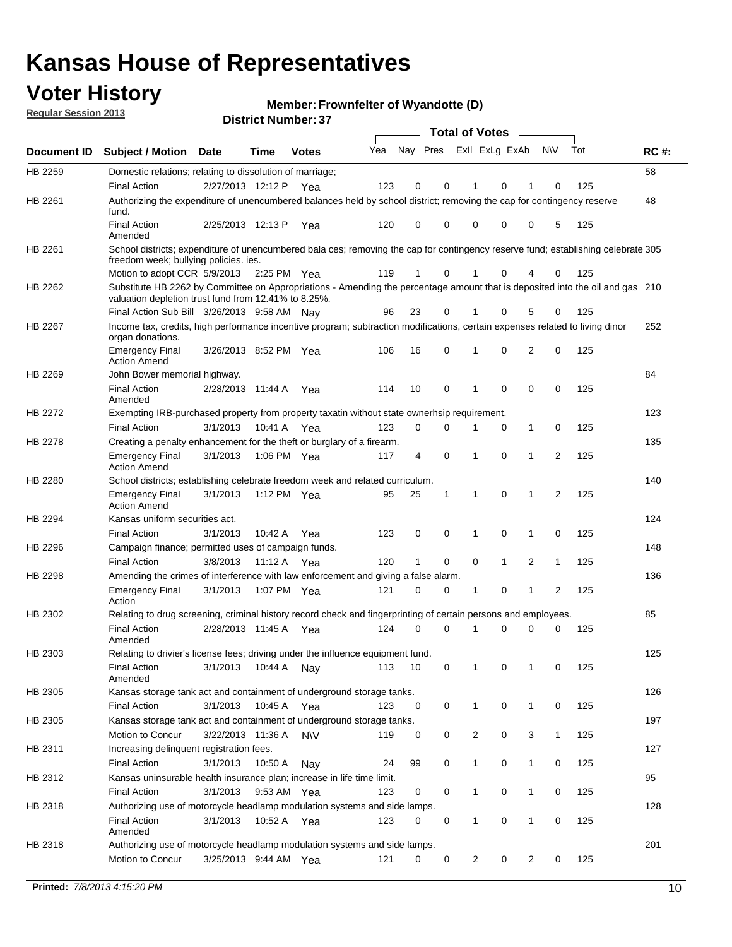## **Voter History**

**Member: Frownfelter of Wyandotte (D)** 

**Regular Session 2013**

|             |                                                                                                                                                                                       |                       | וט הסשוווטנו ועוווסו |              |     |                         |             | <b>Total of Votes</b> |              | $\overline{\phantom{a}}$ |              |     |             |
|-------------|---------------------------------------------------------------------------------------------------------------------------------------------------------------------------------------|-----------------------|----------------------|--------------|-----|-------------------------|-------------|-----------------------|--------------|--------------------------|--------------|-----|-------------|
| Document ID | <b>Subject / Motion Date</b>                                                                                                                                                          |                       | <b>Time</b>          | <b>Votes</b> | Yea | Nay Pres Exll ExLg ExAb |             |                       |              |                          | <b>NV</b>    | Tot | <b>RC#:</b> |
| HB 2259     | Domestic relations; relating to dissolution of marriage;                                                                                                                              |                       |                      |              |     |                         |             |                       |              |                          |              |     | 58          |
|             | <b>Final Action</b>                                                                                                                                                                   | 2/27/2013 12:12 P     |                      | Yea          | 123 | 0                       | 0           | 1                     | 0            | 1                        | $\Omega$     | 125 |             |
| HB 2261     | Authorizing the expenditure of unencumbered balances held by school district; removing the cap for contingency reserve<br>fund.                                                       |                       |                      |              |     |                         |             |                       |              |                          |              |     | 48          |
|             | <b>Final Action</b><br>Amended                                                                                                                                                        | 2/25/2013 12:13 P     |                      | Yea          | 120 | 0                       | 0           | 0                     | 0            | 0                        | 5            | 125 |             |
| HB 2261     | School districts; expenditure of unencumbered bala ces; removing the cap for contingency reserve fund; establishing celebrate 305<br>freedom week; bullying policies. ies.            |                       |                      |              |     |                         |             |                       |              |                          |              |     |             |
|             | Motion to adopt CCR 5/9/2013                                                                                                                                                          |                       | 2:25 PM Yea          |              | 119 | 1                       | 0           |                       | 0            | 4                        | 0            | 125 |             |
| HB 2262     | Substitute HB 2262 by Committee on Appropriations - Amending the percentage amount that is deposited into the oil and gas 210<br>valuation depletion trust fund from 12.41% to 8.25%. |                       |                      |              |     |                         |             |                       |              |                          |              |     |             |
|             | Final Action Sub Bill 3/26/2013 9:58 AM Nay                                                                                                                                           |                       |                      |              | 96  | 23                      | 0           |                       | 0            | 5                        | 0            | 125 |             |
| HB 2267     | Income tax, credits, high performance incentive program; subtraction modifications, certain expenses related to living dinor<br>organ donations.                                      |                       |                      |              |     |                         |             |                       |              |                          |              |     | 252         |
|             | <b>Emergency Final</b><br><b>Action Amend</b>                                                                                                                                         | 3/26/2013 8:52 PM Yea |                      |              | 106 | 16                      | 0           | 1                     | 0            | 2                        | 0            | 125 |             |
| HB 2269     | John Bower memorial highway.                                                                                                                                                          |                       |                      |              |     |                         |             |                       |              |                          |              |     | 84          |
|             | <b>Final Action</b><br>Amended                                                                                                                                                        | 2/28/2013 11:44 A Yea |                      |              | 114 | 10                      | 0           | 1                     | 0            | 0                        | 0            | 125 |             |
| HB 2272     | Exempting IRB-purchased property from property taxatin without state ownerhsip requirement.                                                                                           |                       |                      |              |     |                         |             |                       |              |                          |              |     | 123         |
|             | <b>Final Action</b>                                                                                                                                                                   | 3/1/2013              | 10:41 A              | Yea          | 123 | 0                       | 0           | 1                     | 0            | $\mathbf{1}$             | 0            | 125 |             |
| HB 2278     | Creating a penalty enhancement for the theft or burglary of a firearm.                                                                                                                |                       |                      |              |     |                         |             |                       |              |                          |              |     | 135         |
|             | <b>Emergency Final</b><br><b>Action Amend</b>                                                                                                                                         | 3/1/2013              | 1:06 PM Yea          |              | 117 | 4                       | $\mathbf 0$ | 1                     | 0            | 1                        | 2            | 125 |             |
| HB 2280     | School districts; establishing celebrate freedom week and related curriculum.                                                                                                         |                       |                      |              |     |                         |             |                       |              |                          |              |     | 140         |
|             | <b>Emergency Final</b><br><b>Action Amend</b>                                                                                                                                         | 3/1/2013              | 1:12 PM Yea          |              | 95  | 25                      | 1           | 1                     | 0            | 1                        | 2            | 125 |             |
| HB 2294     | Kansas uniform securities act.                                                                                                                                                        |                       |                      |              |     |                         |             |                       |              |                          |              |     | 124         |
|             | <b>Final Action</b>                                                                                                                                                                   | 3/1/2013              | 10:42 A              | Yea          | 123 | 0                       | 0           | 1                     | 0            | $\mathbf{1}$             | 0            | 125 |             |
| HB 2296     | Campaign finance; permitted uses of campaign funds.                                                                                                                                   |                       |                      |              |     |                         |             |                       |              |                          |              |     | 148         |
|             | <b>Final Action</b>                                                                                                                                                                   | 3/8/2013              | 11:12 A Yea          |              | 120 | $\mathbf{1}$            | 0           | 0                     | $\mathbf{1}$ | 2                        | $\mathbf{1}$ | 125 |             |
| HB 2298     | Amending the crimes of interference with law enforcement and giving a false alarm.                                                                                                    |                       |                      |              |     |                         |             |                       |              |                          |              |     | 136         |
|             | <b>Emergency Final</b><br>Action                                                                                                                                                      | 3/1/2013              | 1:07 PM Yea          |              | 121 | 0                       | 0           | 1                     | 0            | 1                        | 2            | 125 |             |
| HB 2302     | Relating to drug screening, criminal history record check and fingerprinting of certain persons and employees.                                                                        |                       |                      |              |     |                         |             |                       |              |                          |              |     | 85          |
|             | <b>Final Action</b><br>Amended                                                                                                                                                        | 2/28/2013 11:45 A     |                      | Yea          | 124 | 0                       | $\Omega$    | 1                     | 0            | 0                        | $\mathbf 0$  | 125 |             |
| HB 2303     | Relating to drivier's license fees; driving under the influence equipment fund.                                                                                                       |                       |                      |              |     |                         |             |                       |              |                          |              |     | 125         |
|             | <b>Final Action</b><br>Amended                                                                                                                                                        | 3/1/2013              | 10:44 A              | Nay          | 113 | 10                      | 0           | 1                     | 0            | 1                        | 0            | 125 |             |
| HB 2305     | Kansas storage tank act and containment of underground storage tanks.                                                                                                                 |                       |                      |              |     |                         |             |                       |              |                          |              |     | 126         |
|             | <b>Final Action</b>                                                                                                                                                                   | 3/1/2013              | 10:45 A              | Yea          | 123 | 0                       | 0           | 1                     | 0            | 1                        | 0            | 125 |             |
| HB 2305     | Kansas storage tank act and containment of underground storage tanks.                                                                                                                 |                       |                      |              |     |                         |             |                       |              |                          |              |     | 197         |
|             | Motion to Concur                                                                                                                                                                      | 3/22/2013 11:36 A     |                      | <b>NV</b>    | 119 | 0                       | 0           | 2                     | 0            | 3                        | $\mathbf{1}$ | 125 |             |
| HB 2311     | Increasing delinquent registration fees.                                                                                                                                              |                       |                      |              |     |                         |             |                       |              |                          |              |     | 127         |
|             | <b>Final Action</b>                                                                                                                                                                   | 3/1/2013              | 10:50 A              | Nay          | 24  | 99                      | 0           | $\mathbf{1}$          | 0            | 1                        | 0            | 125 |             |
| HB 2312     | Kansas uninsurable health insurance plan; increase in life time limit.                                                                                                                |                       |                      |              |     |                         |             |                       |              |                          |              |     | 95          |
|             | <b>Final Action</b>                                                                                                                                                                   | 3/1/2013              | 9:53 AM Yea          |              | 123 | 0                       | $\pmb{0}$   | 1                     | 0            | 1                        | 0            | 125 |             |
| HB 2318     | Authorizing use of motorcycle headlamp modulation systems and side lamps.                                                                                                             |                       |                      |              |     |                         |             |                       |              |                          |              |     | 128         |
|             | <b>Final Action</b><br>Amended                                                                                                                                                        | 3/1/2013              | 10:52 A              | Yea          | 123 | 0                       | 0           | 1                     | 0            | 1                        | 0            | 125 |             |
| HB 2318     | Authorizing use of motorcycle headlamp modulation systems and side lamps.                                                                                                             |                       |                      |              |     |                         |             |                       |              |                          |              |     | 201         |
|             | Motion to Concur                                                                                                                                                                      | 3/25/2013 9:44 AM Yea |                      |              | 121 | 0                       | 0           | 2                     | 0            | 2                        | 0            | 125 |             |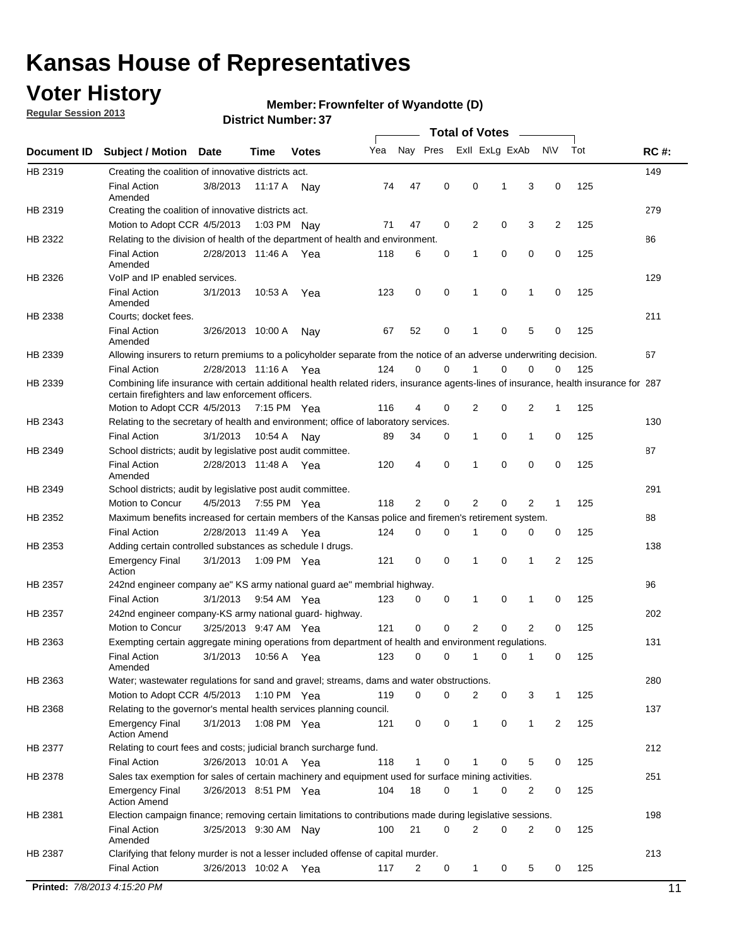## **Voter History**

**Regular Session 2013**

#### **Member: Frownfelter of Wyandotte (D)**

|             |                                                                                                                                                                                             |                       |             |              |     |             |             | <b>Total of Votes</b> |             |                |             |     |             |
|-------------|---------------------------------------------------------------------------------------------------------------------------------------------------------------------------------------------|-----------------------|-------------|--------------|-----|-------------|-------------|-----------------------|-------------|----------------|-------------|-----|-------------|
| Document ID | <b>Subject / Motion</b>                                                                                                                                                                     | <b>Date</b>           | Time        | <b>Votes</b> | Yea | Nay Pres    |             | Exll ExLg ExAb        |             |                | <b>NV</b>   | Tot | <b>RC#:</b> |
| HB 2319     | Creating the coalition of innovative districts act.                                                                                                                                         |                       |             |              |     |             |             |                       |             |                |             |     | 149         |
|             | <b>Final Action</b><br>Amended                                                                                                                                                              | 3/8/2013              | 11:17 A     | Nav          | 74  | 47          | 0           | 0                     | 1           | 3              | 0           | 125 |             |
| HB 2319     | Creating the coalition of innovative districts act.                                                                                                                                         |                       |             |              |     |             |             |                       |             |                |             |     | 279         |
|             | Motion to Adopt CCR 4/5/2013                                                                                                                                                                |                       |             | 1:03 PM Nav  | 71  | 47          | 0           | 2                     | 0           | 3              | 2           | 125 |             |
| HB 2322     | Relating to the division of health of the department of health and environment.                                                                                                             |                       |             |              |     |             |             |                       |             |                |             |     | 86          |
|             | <b>Final Action</b><br>Amended                                                                                                                                                              | 2/28/2013 11:46 A Yea |             |              | 118 | 6           | 0           | 1                     | 0           | 0              | 0           | 125 |             |
| HB 2326     | VoIP and IP enabled services.                                                                                                                                                               |                       |             |              |     |             |             |                       |             |                |             |     | 129         |
|             | <b>Final Action</b><br>Amended                                                                                                                                                              | 3/1/2013              | 10:53 A     | Yea          | 123 | $\mathbf 0$ | 0           | 1                     | $\mathbf 0$ | 1              | $\mathbf 0$ | 125 |             |
| HB 2338     | Courts; docket fees.                                                                                                                                                                        |                       |             |              |     |             |             |                       |             |                |             |     | 211         |
|             | <b>Final Action</b><br>Amended                                                                                                                                                              | 3/26/2013 10:00 A     |             | Nav          | 67  | 52          | 0           | $\mathbf 1$           | 0           | 5              | 0           | 125 |             |
| HB 2339     | Allowing insurers to return premiums to a policyholder separate from the notice of an adverse underwriting decision.                                                                        |                       |             |              |     |             |             |                       |             |                |             |     | 67          |
|             | <b>Final Action</b>                                                                                                                                                                         | 2/28/2013 11:16 A Yea |             |              | 124 | 0           | 0           | 1                     | 0           | 0              | 0           | 125 |             |
| HB 2339     | Combining life insurance with certain additional health related riders, insurance agents-lines of insurance, health insurance for 287<br>certain firefighters and law enforcement officers. |                       |             |              |     |             |             |                       |             |                |             |     |             |
|             | Motion to Adopt CCR 4/5/2013 7:15 PM Yea                                                                                                                                                    |                       |             |              | 116 | 4           | 0           | 2                     | 0           | 2              | 1           | 125 |             |
| HB 2343     | Relating to the secretary of health and environment; office of laboratory services.                                                                                                         |                       |             |              |     |             |             |                       |             |                |             |     | 130         |
|             | <b>Final Action</b>                                                                                                                                                                         | 3/1/2013              | 10:54 A Nay |              | 89  | 34          | 0           | $\mathbf{1}$          | 0           | 1              | 0           | 125 |             |
| HB 2349     | School districts; audit by legislative post audit committee.                                                                                                                                |                       |             |              |     |             |             |                       |             |                |             |     | 87          |
|             | <b>Final Action</b><br>Amended                                                                                                                                                              | 2/28/2013 11:48 A Yea |             |              | 120 | 4           | 0           | 1                     | $\Omega$    | $\Omega$       | 0           | 125 |             |
| HB 2349     | School districts; audit by legislative post audit committee.                                                                                                                                |                       |             |              |     |             |             |                       |             |                |             |     | 291         |
|             | Motion to Concur                                                                                                                                                                            | 4/5/2013              |             | 7:55 PM Yea  | 118 | 2           | 0           | 2                     | 0           | 2              | 1           | 125 |             |
| HB 2352     | Maximum benefits increased for certain members of the Kansas police and firemen's retirement system.                                                                                        |                       |             |              |     |             |             |                       |             |                |             |     | 88          |
|             | <b>Final Action</b>                                                                                                                                                                         | 2/28/2013 11:49 A     |             | Yea          | 124 | 0           | 0           | 1                     | 0           | 0              | 0           | 125 |             |
| HB 2353     | Adding certain controlled substances as schedule I drugs.                                                                                                                                   |                       |             |              |     |             |             |                       |             |                |             |     | 138         |
|             | <b>Emergency Final</b><br>Action                                                                                                                                                            | 3/1/2013              |             | 1:09 PM Yea  | 121 | 0           | 0           | 1                     | 0           | 1              | 2           | 125 |             |
| HB 2357     | 242nd engineer company ae" KS army national guard ae" membrial highway.                                                                                                                     |                       |             |              |     |             |             |                       |             |                |             |     | 96          |
|             | <b>Final Action</b>                                                                                                                                                                         | 3/1/2013              |             | 9:54 AM Yea  | 123 | 0           | 0           | 1                     | 0           | 1              | 0           | 125 |             |
| HB 2357     | 242nd engineer company-KS army national guard- highway.                                                                                                                                     |                       |             |              |     |             |             |                       |             |                |             |     | 202         |
|             | Motion to Concur                                                                                                                                                                            | 3/25/2013 9:47 AM Yea |             |              | 121 | $\mathbf 0$ | $\mathbf 0$ | $\overline{2}$        | $\mathbf 0$ | $\overline{2}$ | 0           | 125 |             |
| HB 2363     | Exempting certain aggregate mining operations from department of health and environment regulations.                                                                                        |                       |             |              |     |             |             |                       |             |                |             |     | 131         |
|             | <b>Final Action</b><br>Amended                                                                                                                                                              | 3/1/2013              | 10:56 A     | Yea          | 123 | 0           | 0           | 1                     | 0           | 1              | 0           | 125 |             |
| HB 2363     | Water; wastewater regulations for sand and gravel; streams, dams and water obstructions.                                                                                                    |                       |             |              |     |             |             |                       |             |                |             |     | 280         |
|             | Motion to Adopt CCR 4/5/2013                                                                                                                                                                |                       |             | 1:10 PM Yea  | 119 | 0           | 0           | 2                     | 0           | 3              | 1           | 125 |             |
| HB 2368     | Relating to the governor's mental health services planning council.<br><b>Emergency Final</b><br><b>Action Amend</b>                                                                        | 3/1/2013              |             | 1:08 PM Yea  | 121 | 0           | 0           | $\mathbf{1}$          | 0           | 1              | 2           | 125 | 137         |
| HB 2377     | Relating to court fees and costs; judicial branch surcharge fund.                                                                                                                           |                       |             |              |     |             |             |                       |             |                |             |     | 212         |
|             | <b>Final Action</b>                                                                                                                                                                         | 3/26/2013 10:01 A Yea |             |              | 118 | 1           | 0           |                       | 0           | 5              | 0           | 125 |             |
| HB 2378     | Sales tax exemption for sales of certain machinery and equipment used for surface mining activities.                                                                                        |                       |             |              |     |             |             |                       |             |                |             |     | 251         |
|             | <b>Emergency Final</b><br><b>Action Amend</b>                                                                                                                                               | 3/26/2013 8:51 PM Yea |             |              | 104 | 18          | 0           | 1                     | 0           | 2              | 0           | 125 |             |
| HB 2381     | Election campaign finance; removing certain limitations to contributions made during legislative sessions.                                                                                  |                       |             |              |     |             |             |                       |             |                |             |     | 198         |
|             | <b>Final Action</b><br>Amended                                                                                                                                                              | 3/25/2013 9:30 AM Nay |             |              | 100 | 21          | 0           | $\overline{2}$        | 0           | 2              | 0           | 125 |             |
| HB 2387     | Clarifying that felony murder is not a lesser included offense of capital murder.                                                                                                           |                       |             |              |     |             |             |                       |             |                |             |     | 213         |
|             | <b>Final Action</b>                                                                                                                                                                         | 3/26/2013 10:02 A Yea |             |              | 117 | 2           | 0           | $\mathbf{1}$          | 0           | 5              | 0           | 125 |             |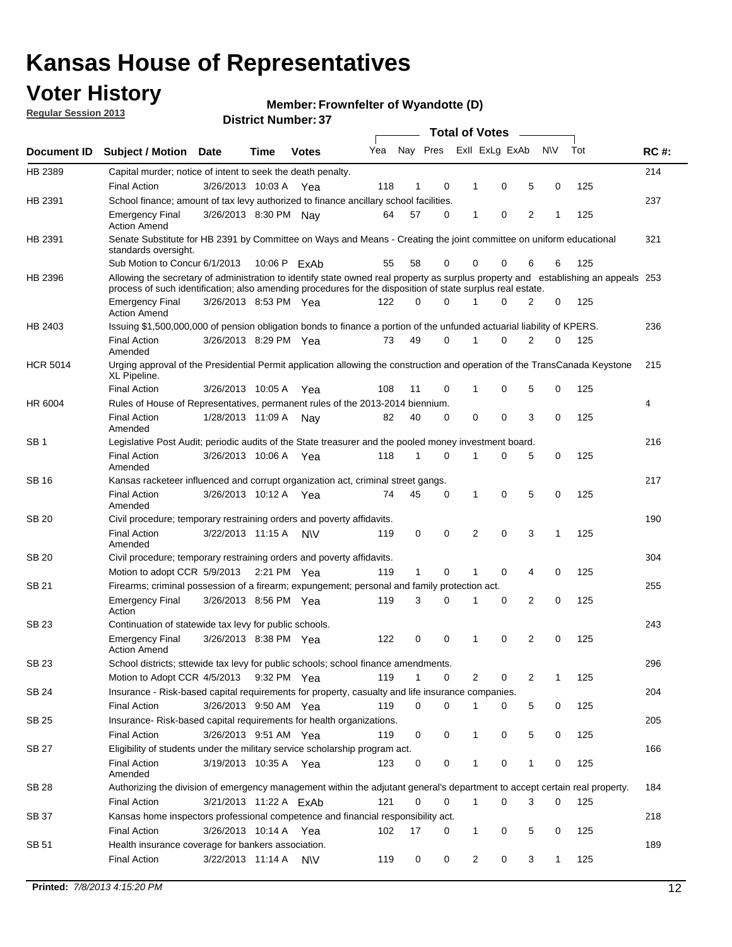## **Voter History**

**Member: Frownfelter of Wyandotte (D)** 

**Regular Session 2013**

|                 |                                                                                                                                                                                                                                                  |                        |      |              |     |              |   | <b>Total of Votes</b> |             |   |              |     |             |
|-----------------|--------------------------------------------------------------------------------------------------------------------------------------------------------------------------------------------------------------------------------------------------|------------------------|------|--------------|-----|--------------|---|-----------------------|-------------|---|--------------|-----|-------------|
| Document ID     | <b>Subject / Motion</b>                                                                                                                                                                                                                          | <b>Date</b>            | Time | <b>Votes</b> | Yea | Nay Pres     |   | Exll ExLg ExAb        |             |   | <b>NV</b>    | Tot | <b>RC#:</b> |
| HB 2389         | Capital murder; notice of intent to seek the death penalty.                                                                                                                                                                                      |                        |      |              |     |              |   |                       |             |   |              |     | 214         |
|                 | <b>Final Action</b>                                                                                                                                                                                                                              | 3/26/2013 10:03 A      |      | Yea          | 118 | 1            | 0 | 1                     | 0           | 5 | 0            | 125 |             |
| HB 2391         | School finance; amount of tax levy authorized to finance ancillary school facilities.                                                                                                                                                            |                        |      |              |     |              |   |                       |             |   |              |     | 237         |
|                 | <b>Emergency Final</b><br><b>Action Amend</b>                                                                                                                                                                                                    | 3/26/2013 8:30 PM Nay  |      |              | 64  | 57           | 0 | $\mathbf{1}$          | 0           | 2 | 1            | 125 |             |
| HB 2391         | Senate Substitute for HB 2391 by Committee on Ways and Means - Creating the joint committee on uniform educational<br>standards oversight.                                                                                                       |                        |      |              |     |              |   |                       |             |   |              |     | 321         |
|                 | Sub Motion to Concur 6/1/2013                                                                                                                                                                                                                    |                        |      | 10:06 P ExAb | 55  | 58           | 0 | 0                     | 0           | 6 | 6            | 125 |             |
| HB 2396         | Allowing the secretary of administration to identify state owned real property as surplus property and establishing an appeals 253<br>process of such identification; also amending procedures for the disposition of state surplus real estate. |                        |      |              |     |              |   |                       |             |   |              |     |             |
|                 | <b>Emergency Final</b><br><b>Action Amend</b>                                                                                                                                                                                                    | 3/26/2013 8:53 PM Yea  |      |              | 122 | 0            | 0 | 1                     | 0           | 2 | 0            | 125 |             |
| HB 2403         | Issuing \$1,500,000,000 of pension obligation bonds to finance a portion of the unfunded actuarial liability of KPERS.                                                                                                                           |                        |      |              |     |              |   |                       |             |   |              |     | 236         |
|                 | <b>Final Action</b><br>Amended                                                                                                                                                                                                                   | 3/26/2013 8:29 PM Yea  |      |              | 73  | 49           | 0 | 1                     | 0           | 2 | 0            | 125 |             |
| <b>HCR 5014</b> | Urging approval of the Presidential Permit application allowing the construction and operation of the TransCanada Keystone<br>XL Pipeline.                                                                                                       |                        |      |              |     |              |   |                       |             |   |              |     | 215         |
|                 | <b>Final Action</b>                                                                                                                                                                                                                              | 3/26/2013 10:05 A      |      | Yea          | 108 | 11           | 0 |                       | 0           | 5 | 0            | 125 |             |
| HR 6004         | Rules of House of Representatives, permanent rules of the 2013-2014 biennium.                                                                                                                                                                    |                        |      |              |     |              |   |                       |             |   |              |     | 4           |
|                 | <b>Final Action</b><br>Amended                                                                                                                                                                                                                   | 1/28/2013 11:09 A      |      | Nay          | 82  | 40           | 0 | 0                     | 0           | 3 | 0            | 125 |             |
| SB 1            | Legislative Post Audit; periodic audits of the State treasurer and the pooled money investment board.                                                                                                                                            |                        |      |              |     |              |   |                       |             |   |              |     | 216         |
|                 | <b>Final Action</b><br>Amended                                                                                                                                                                                                                   | 3/26/2013 10:06 A      |      | Yea          | 118 | $\mathbf{1}$ | 0 | 1                     | 0           | 5 | 0            | 125 |             |
| SB 16           | Kansas racketeer influenced and corrupt organization act, criminal street gangs.                                                                                                                                                                 |                        |      |              |     |              |   |                       |             |   |              |     | 217         |
|                 | <b>Final Action</b><br>Amended                                                                                                                                                                                                                   | 3/26/2013 10:12 A Yea  |      |              | 74  | 45           | 0 | 1                     | $\mathbf 0$ | 5 | 0            | 125 |             |
| SB 20           | Civil procedure; temporary restraining orders and poverty affidavits.                                                                                                                                                                            |                        |      |              |     |              |   |                       |             |   |              |     | 190         |
|                 | <b>Final Action</b><br>Amended                                                                                                                                                                                                                   | 3/22/2013 11:15 A      |      | N\V          | 119 | 0            | 0 | 2                     | 0           | 3 | $\mathbf{1}$ | 125 |             |
| <b>SB 20</b>    | Civil procedure; temporary restraining orders and poverty affidavits.                                                                                                                                                                            |                        |      |              |     |              |   |                       |             |   |              |     | 304         |
|                 | Motion to adopt CCR 5/9/2013 2:21 PM Yea                                                                                                                                                                                                         |                        |      |              | 119 | 1            | 0 | 1                     | 0           | 4 | 0            | 125 |             |
| SB 21           | Firearms; criminal possession of a firearm; expungement; personal and family protection act.                                                                                                                                                     |                        |      |              |     |              |   |                       |             |   |              |     | 255         |
|                 | <b>Emergency Final</b><br>Action                                                                                                                                                                                                                 | 3/26/2013 8:56 PM Yea  |      |              | 119 | 3            | 0 | 1                     | 0           | 2 | 0            | 125 |             |
| SB 23           | Continuation of statewide tax levy for public schools.                                                                                                                                                                                           |                        |      |              |     |              |   |                       |             |   |              |     | 243         |
|                 | <b>Emergency Final</b><br><b>Action Amend</b>                                                                                                                                                                                                    | 3/26/2013 8:38 PM Yea  |      |              | 122 | 0            | 0 | 1                     | 0           | 2 | 0            | 125 |             |
| <b>SB 23</b>    | School districts; sttewide tax levy for public schools; school finance amendments.                                                                                                                                                               |                        |      |              |     |              |   |                       |             |   |              |     | 296         |
|                 | Motion to Adopt CCR 4/5/2013 9:32 PM Yea                                                                                                                                                                                                         |                        |      |              | 119 | $\mathbf{1}$ | 0 | 2                     | 0           | 2 | 1            | 125 |             |
| <b>SB 24</b>    | Insurance - Risk-based capital requirements for property, casualty and life insurance companies.                                                                                                                                                 |                        |      |              |     |              |   |                       |             |   |              |     | 204         |
|                 | <b>Final Action</b>                                                                                                                                                                                                                              | 3/26/2013 9:50 AM Yea  |      |              | 119 | 0            | 0 | 1                     | 0           | 5 | 0            | 125 |             |
| SB 25           | Insurance-Risk-based capital requirements for health organizations.                                                                                                                                                                              |                        |      |              |     |              |   |                       |             |   |              |     | 205         |
|                 | <b>Final Action</b>                                                                                                                                                                                                                              | 3/26/2013 9:51 AM Yea  |      |              | 119 | 0            | 0 | 1                     | 0           | 5 | 0            | 125 |             |
| SB 27           | Eligibility of students under the military service scholarship program act.                                                                                                                                                                      |                        |      |              |     |              |   |                       |             |   |              |     | 166         |
|                 | <b>Final Action</b><br>Amended                                                                                                                                                                                                                   | 3/19/2013 10:35 A Yea  |      |              | 123 | 0            | 0 |                       | 0           | 1 | 0            | 125 |             |
| SB 28           | Authorizing the division of emergency management within the adjutant general's department to accept certain real property.                                                                                                                       |                        |      |              |     |              |   |                       |             |   |              |     | 184         |
|                 | <b>Final Action</b>                                                                                                                                                                                                                              | 3/21/2013 11:22 A ExAb |      |              | 121 | $\Omega$     | 0 | $\mathbf{1}$          | 0           | 3 | $\Omega$     | 125 |             |
| SB 37           | Kansas home inspectors professional competence and financial responsibility act.                                                                                                                                                                 |                        |      |              |     |              |   |                       |             |   |              |     | 218         |
|                 | <b>Final Action</b>                                                                                                                                                                                                                              | 3/26/2013 10:14 A Yea  |      |              | 102 | 17           | 0 | 1                     | 0           | 5 | 0            | 125 |             |
| SB 51           | Health insurance coverage for bankers association.                                                                                                                                                                                               |                        |      |              |     |              |   |                       |             |   |              |     | 189         |
|                 | <b>Final Action</b>                                                                                                                                                                                                                              |                        |      |              | 119 | 0            | 0 | $\overline{c}$        | 0           | 3 | 1            | 125 |             |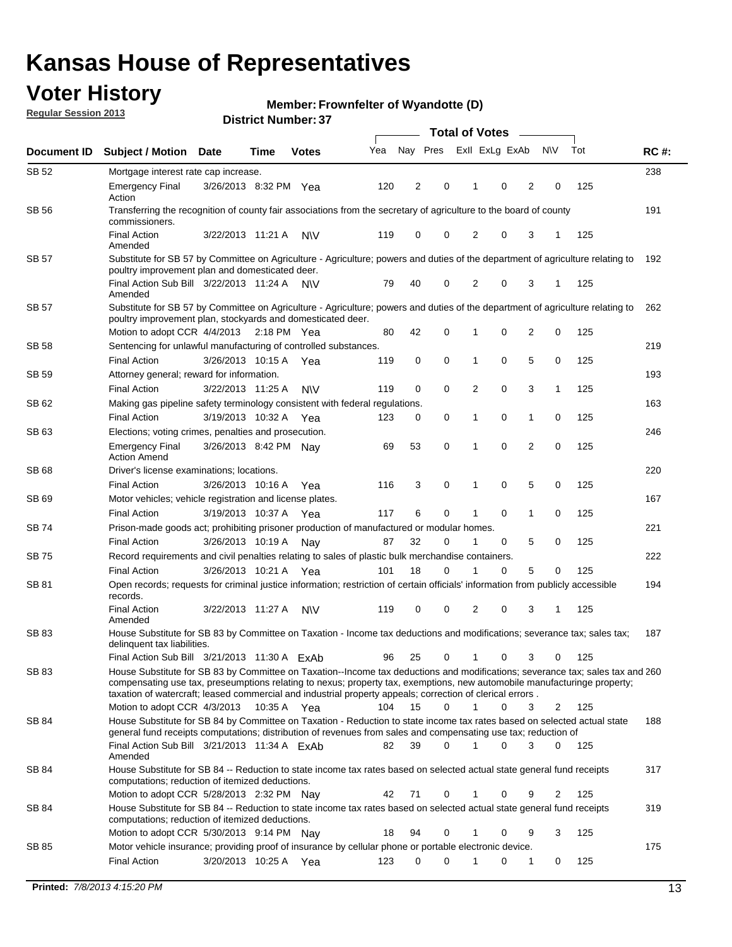## **Voter History**

**Member: Frownfelter of Wyandotte (D)** 

**Regular Session 2013**

|              |                                                                                                                                                                                                                                                                                                                                                                         |                       |               |              |     | <b>Total of Votes</b> |             |                |   |                |              |     |             |  |
|--------------|-------------------------------------------------------------------------------------------------------------------------------------------------------------------------------------------------------------------------------------------------------------------------------------------------------------------------------------------------------------------------|-----------------------|---------------|--------------|-----|-----------------------|-------------|----------------|---|----------------|--------------|-----|-------------|--|
| Document ID  | <b>Subject / Motion Date</b>                                                                                                                                                                                                                                                                                                                                            |                       | Time          | <b>Votes</b> | Yea | Nay Pres              |             | Exll ExLg ExAb |   |                | <b>NV</b>    | Tot | <b>RC#:</b> |  |
| SB 52        | Mortgage interest rate cap increase.                                                                                                                                                                                                                                                                                                                                    |                       |               |              |     |                       |             |                |   |                |              |     | 238         |  |
|              | <b>Emergency Final</b><br>Action                                                                                                                                                                                                                                                                                                                                        | 3/26/2013 8:32 PM Yea |               |              | 120 | 2                     | 0           | 1              | 0 | 2              | 0            | 125 |             |  |
| <b>SB 56</b> | Transferring the recognition of county fair associations from the secretary of agriculture to the board of county<br>commissioners.                                                                                                                                                                                                                                     |                       |               |              |     |                       |             |                |   |                |              |     | 191         |  |
|              | <b>Final Action</b><br>Amended                                                                                                                                                                                                                                                                                                                                          | 3/22/2013 11:21 A     |               | <b>NV</b>    | 119 | 0                     | 0           | $\overline{2}$ | 0 | 3              |              | 125 |             |  |
| <b>SB 57</b> | Substitute for SB 57 by Committee on Agriculture - Agriculture; powers and duties of the department of agriculture relating to<br>poultry improvement plan and domesticated deer.                                                                                                                                                                                       |                       |               |              |     |                       |             |                |   |                |              |     | 192         |  |
|              | Final Action Sub Bill 3/22/2013 11:24 A<br>Amended                                                                                                                                                                                                                                                                                                                      |                       |               | <b>NV</b>    | 79  | 40                    | 0           | 2              | 0 | 3              | -1           | 125 |             |  |
| <b>SB 57</b> | Substitute for SB 57 by Committee on Agriculture - Agriculture; powers and duties of the department of agriculture relating to<br>poultry improvement plan, stockyards and domesticated deer.                                                                                                                                                                           |                       |               |              |     |                       |             |                |   |                |              |     | 262         |  |
|              | Motion to adopt CCR 4/4/2013                                                                                                                                                                                                                                                                                                                                            |                       | $2:18$ PM Yea |              | 80  | 42                    | 0           | 1              | 0 | 2              | 0            | 125 |             |  |
| SB 58        | Sentencing for unlawful manufacturing of controlled substances.                                                                                                                                                                                                                                                                                                         |                       |               |              |     |                       |             |                |   |                |              |     | 219         |  |
|              | <b>Final Action</b>                                                                                                                                                                                                                                                                                                                                                     | 3/26/2013 10:15 A     |               | Yea          | 119 | 0                     | $\mathbf 0$ | 1              | 0 | 5              | 0            | 125 |             |  |
| SB 59        | Attorney general; reward for information.                                                                                                                                                                                                                                                                                                                               |                       |               |              |     |                       |             |                |   |                |              |     | 193         |  |
|              | <b>Final Action</b>                                                                                                                                                                                                                                                                                                                                                     | 3/22/2013 11:25 A     |               | <b>NV</b>    | 119 | 0                     | $\mathbf 0$ | $\overline{2}$ | 0 | 3              | $\mathbf{1}$ | 125 |             |  |
| SB 62        | Making gas pipeline safety terminology consistent with federal regulations.                                                                                                                                                                                                                                                                                             |                       |               |              |     |                       |             |                |   |                |              |     | 163         |  |
|              | <b>Final Action</b>                                                                                                                                                                                                                                                                                                                                                     | 3/19/2013 10:32 A     |               | Yea          | 123 | 0                     | 0           | 1              | 0 | 1              | 0            | 125 |             |  |
| SB 63        | Elections; voting crimes, penalties and prosecution.                                                                                                                                                                                                                                                                                                                    |                       |               |              |     |                       |             |                |   |                |              |     | 246         |  |
|              | <b>Emergency Final</b><br><b>Action Amend</b>                                                                                                                                                                                                                                                                                                                           | 3/26/2013 8:42 PM Nav |               |              | 69  | 53                    | $\mathbf 0$ | 1              | 0 | $\overline{2}$ | 0            | 125 |             |  |
| SB 68        | Driver's license examinations; locations.                                                                                                                                                                                                                                                                                                                               |                       |               |              |     |                       |             |                |   |                |              |     | 220         |  |
|              | <b>Final Action</b>                                                                                                                                                                                                                                                                                                                                                     | 3/26/2013 10:16 A     |               | Yea          | 116 | 3                     | 0           | 1              | 0 | 5              | 0            | 125 | 167         |  |
| SB 69        | Motor vehicles; vehicle registration and license plates.<br><b>Final Action</b>                                                                                                                                                                                                                                                                                         | 3/19/2013 10:37 A     |               |              | 117 | 6                     | 0           | 1              | 0 | 1              | 0            | 125 |             |  |
| SB 74        | Prison-made goods act; prohibiting prisoner production of manufactured or modular homes.                                                                                                                                                                                                                                                                                |                       |               | Yea          |     |                       |             |                |   |                |              |     | 221         |  |
|              | <b>Final Action</b>                                                                                                                                                                                                                                                                                                                                                     | 3/26/2013 10:19 A     |               |              | 87  | 32                    | 0           | 1              | 0 | 5              | 0            | 125 |             |  |
| SB 75        | Record requirements and civil penalties relating to sales of plastic bulk merchandise containers.                                                                                                                                                                                                                                                                       |                       |               | Nay          |     |                       |             |                |   |                |              |     | 222         |  |
|              | <b>Final Action</b>                                                                                                                                                                                                                                                                                                                                                     | 3/26/2013 10:21 A     |               | Yea          | 101 | 18                    | 0           | 1              | 0 | 5              | 0            | 125 |             |  |
| SB 81        | Open records; requests for criminal justice information; restriction of certain officials' information from publicly accessible                                                                                                                                                                                                                                         |                       |               |              |     |                       |             |                |   |                |              |     | 194         |  |
|              | records.<br><b>Final Action</b>                                                                                                                                                                                                                                                                                                                                         | 3/22/2013 11:27 A     |               | <b>NV</b>    | 119 | 0                     | 0           | 2              | 0 | 3              | 1            | 125 |             |  |
|              | Amended                                                                                                                                                                                                                                                                                                                                                                 |                       |               |              |     |                       |             |                |   |                |              |     |             |  |
| SB 83        | House Substitute for SB 83 by Committee on Taxation - Income tax deductions and modifications; severance tax; sales tax;<br>delinquent tax liabilities.                                                                                                                                                                                                                 |                       |               |              |     |                       |             |                |   |                |              |     | 187         |  |
|              | Final Action Sub Bill 3/21/2013 11:30 A ExAb                                                                                                                                                                                                                                                                                                                            |                       |               |              | 96  | 25                    | 0           | 1              | 0 | 3              | 0            | 125 |             |  |
| SB 83        | House Substitute for SB 83 by Committee on Taxation--Income tax deductions and modifications; severance tax; sales tax and 260<br>compensating use tax, preseumptions relating to nexus; property tax, exemptions, new automobile manufacturinge property;<br>taxation of watercraft; leased commercial and industrial property appeals; correction of clerical errors. |                       |               |              |     |                       |             |                |   |                |              |     |             |  |
|              | Motion to adopt CCR 4/3/2013<br>House Substitute for SB 84 by Committee on Taxation - Reduction to state income tax rates based on selected actual state                                                                                                                                                                                                                |                       | 10:35 A Yea   |              | 104 | 15                    | $\Omega$    | $\mathbf{1}$   | 0 | 3              | 2            | 125 |             |  |
| SB 84        | general fund receipts computations; distribution of revenues from sales and compensating use tax; reduction of<br>Final Action Sub Bill 3/21/2013 11:34 A ExAb                                                                                                                                                                                                          |                       |               |              | 82  | 39                    | $\Omega$    |                | 0 | 3              | $\Omega$     | 125 | 188         |  |
|              | Amended                                                                                                                                                                                                                                                                                                                                                                 |                       |               |              |     |                       |             |                |   |                |              |     |             |  |
| SB 84        | House Substitute for SB 84 -- Reduction to state income tax rates based on selected actual state general fund receipts<br>computations; reduction of itemized deductions.                                                                                                                                                                                               |                       |               |              |     |                       |             |                |   |                |              |     | 317         |  |
|              | Motion to adopt CCR 5/28/2013 2:32 PM Nav                                                                                                                                                                                                                                                                                                                               |                       |               |              | 42  | 71                    | 0           |                | 0 | 9              | 2            | 125 |             |  |
| SB 84        | House Substitute for SB 84 -- Reduction to state income tax rates based on selected actual state general fund receipts<br>computations; reduction of itemized deductions.                                                                                                                                                                                               |                       |               |              |     |                       |             |                |   |                |              |     | 319         |  |
|              | Motion to adopt CCR 5/30/2013 9:14 PM Nay                                                                                                                                                                                                                                                                                                                               |                       |               |              | 18  | 94                    | 0           | 1              | 0 | 9              | 3            | 125 |             |  |
| SB 85        | Motor vehicle insurance; providing proof of insurance by cellular phone or portable electronic device.                                                                                                                                                                                                                                                                  |                       |               |              |     |                       |             |                |   |                |              |     | 175         |  |
|              | <b>Final Action</b>                                                                                                                                                                                                                                                                                                                                                     | 3/20/2013 10:25 A Yea |               |              | 123 | 0                     | 0           |                | 0 | 1              | 0            | 125 |             |  |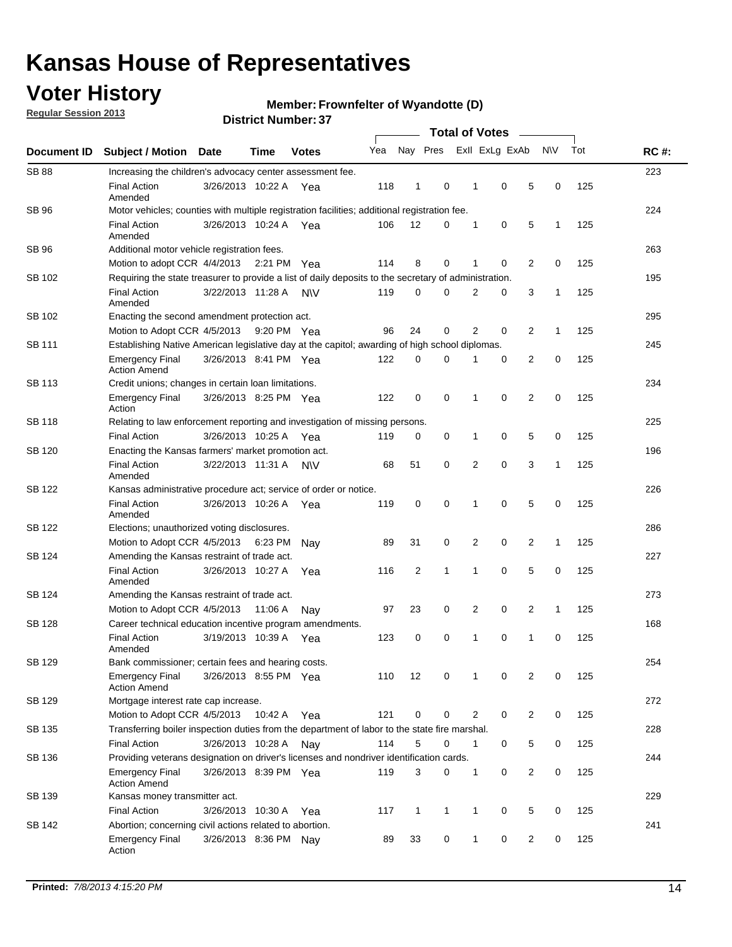## **Voter History**

**Regular Session 2013**

#### **Member: Frownfelter of Wyandotte (D)**

| Document ID   |                                                                                                       |                                                                                                      |         |              |     |                |              |                |                |                |              |     |             |
|---------------|-------------------------------------------------------------------------------------------------------|------------------------------------------------------------------------------------------------------|---------|--------------|-----|----------------|--------------|----------------|----------------|----------------|--------------|-----|-------------|
|               | <b>Subject / Motion Date</b>                                                                          |                                                                                                      | Time    | <b>Votes</b> | Yea | Nay Pres       |              |                | Exll ExLg ExAb |                | N\V          | Tot | <b>RC#:</b> |
| <b>SB 88</b>  | Increasing the children's advocacy center assessment fee.                                             |                                                                                                      |         |              |     |                |              |                |                |                |              |     | 223         |
|               | <b>Final Action</b><br>Amended                                                                        | 3/26/2013 10:22 A                                                                                    |         | Yea          | 118 | $\mathbf{1}$   | 0            | 1              | 0              | 5              | 0            | 125 |             |
| SB 96         | Motor vehicles; counties with multiple registration facilities; additional registration fee.          |                                                                                                      |         |              |     |                |              |                |                |                |              |     | 224         |
|               | <b>Final Action</b><br>Amended                                                                        | 3/26/2013 10:24 A                                                                                    |         | Yea          | 106 | 12             | 0            | 1              | 0              | 5              | 1            | 125 |             |
| SB 96         | Additional motor vehicle registration fees.                                                           |                                                                                                      |         |              |     |                |              |                |                |                |              |     | 263         |
|               | Motion to adopt CCR 4/4/2013 2:21 PM                                                                  |                                                                                                      |         | Yea          | 114 | 8              | 0            | 1              | $\mathbf 0$    | 2              | 0            | 125 |             |
| SB 102        | Requiring the state treasurer to provide a list of daily deposits to the secretary of administration. |                                                                                                      |         |              |     |                |              |                |                |                |              |     | 195         |
|               | <b>Final Action</b><br>Amended                                                                        | 3/22/2013 11:28 A                                                                                    |         | <b>NV</b>    | 119 | 0              | $\Omega$     | $\overline{2}$ | 0              | 3              | 1            | 125 |             |
| SB 102        | Enacting the second amendment protection act.                                                         |                                                                                                      |         |              |     |                |              |                |                |                |              |     | 295         |
|               |                                                                                                       | $\overline{2}$<br>2<br>0<br>0<br>1<br>125<br>Motion to Adopt CCR 4/5/2013<br>96<br>24<br>9:20 PM Yea |         |              |     |                |              |                |                |                |              |     |             |
| SB 111        | Establishing Native American legislative day at the capitol; awarding of high school diplomas.        |                                                                                                      |         |              |     |                |              |                |                |                |              |     |             |
|               | <b>Emergency Final</b><br><b>Action Amend</b>                                                         | 3/26/2013 8:41 PM Yea                                                                                |         |              | 122 | 0              | 0            |                | 0              | 2              | 0            | 125 |             |
| <b>SB 113</b> | Credit unions; changes in certain loan limitations.                                                   |                                                                                                      |         |              |     |                |              |                |                |                |              |     | 234         |
|               | Emergency Final<br>Action                                                                             | 3/26/2013 8:25 PM Yea                                                                                |         |              | 122 | $\mathbf 0$    | 0            | 1              | 0              | $\overline{2}$ | 0            | 125 |             |
| <b>SB 118</b> | Relating to law enforcement reporting and investigation of missing persons.                           |                                                                                                      |         |              |     |                |              |                |                |                |              |     | 225         |
|               | <b>Final Action</b>                                                                                   | 3/26/2013 10:25 A Yea                                                                                |         |              | 119 | 0              | 0            | 1              | 0              | 5              | 0            | 125 |             |
| SB 120        | Enacting the Kansas farmers' market promotion act.                                                    |                                                                                                      |         |              |     |                |              |                |                |                |              |     | 196         |
|               | <b>Final Action</b><br>Amended                                                                        | 3/22/2013 11:31 A                                                                                    |         | <b>NV</b>    | 68  | 51             | 0            | $\overline{2}$ | $\mathbf 0$    | 3              | 1            | 125 |             |
| <b>SB 122</b> | Kansas administrative procedure act; service of order or notice.                                      |                                                                                                      |         |              |     |                |              |                |                |                |              |     | 226         |
|               | <b>Final Action</b><br>Amended                                                                        | 3/26/2013 10:26 A                                                                                    |         | Yea          | 119 | 0              | 0            | 1              | $\mathbf 0$    | 5              | 0            | 125 |             |
| SB 122        | Elections; unauthorized voting disclosures.                                                           |                                                                                                      |         |              |     |                |              |                |                |                |              |     |             |
|               | Motion to Adopt CCR 4/5/2013 6:23 PM                                                                  |                                                                                                      |         | Nav          | 89  | 31             | 0            | 2              | 0              | 2              | $\mathbf{1}$ | 125 |             |
| SB 124        | Amending the Kansas restraint of trade act.                                                           |                                                                                                      |         |              |     |                |              |                |                |                |              |     | 227         |
|               | <b>Final Action</b><br>Amended                                                                        | 3/26/2013 10:27 A                                                                                    |         | Yea          | 116 | $\overline{2}$ | $\mathbf{1}$ | 1              | $\mathbf 0$    | 5              | 0            | 125 |             |
| SB 124        | Amending the Kansas restraint of trade act.                                                           |                                                                                                      |         |              |     |                |              |                |                |                |              |     | 273         |
|               | Motion to Adopt CCR 4/5/2013                                                                          |                                                                                                      | 11:06 A | Nav          | 97  | 23             | 0            | 2              | 0              | 2              | $\mathbf{1}$ | 125 |             |
| SB 128        | Career technical education incentive program amendments.                                              |                                                                                                      |         |              |     |                |              |                |                |                |              | 168 |             |
|               | <b>Final Action</b><br>Amended                                                                        | 3/19/2013 10:39 A                                                                                    |         | Yea          | 123 | 0              | 0            | 1              | 0              | $\mathbf{1}$   | 0            | 125 |             |
| SB 129        | Bank commissioner; certain fees and hearing costs.                                                    |                                                                                                      |         |              |     |                |              |                |                |                |              |     | 254         |
|               | Emergency Final<br><b>Action Amend</b>                                                                | 3/26/2013 8:55 PM Yea                                                                                |         |              | 110 | 12             | 0            | 1              | 0              | 2              | 0            | 125 |             |
| SB 129        | Mortgage interest rate cap increase.                                                                  |                                                                                                      |         |              |     |                |              |                |                |                |              |     | 272         |
|               | Motion to Adopt CCR 4/5/2013                                                                          |                                                                                                      | 10:42 A | Yea          | 121 | $\mathbf 0$    | 0            | 2              | 0              | $\overline{2}$ | 0            | 125 |             |
| SB 135        | Transferring boiler inspection duties from the department of labor to the state fire marshal.         |                                                                                                      |         |              |     |                |              |                |                |                |              |     | 228         |
|               | <b>Final Action</b>                                                                                   | 3/26/2013 10:28 A                                                                                    |         | Nay          | 114 | 5              | 0            | 1              | 0              | 5              | 0            | 125 |             |
| SB 136        | Providing veterans designation on driver's licenses and nondriver identification cards.               |                                                                                                      |         |              |     |                |              |                |                |                |              |     | 244         |
|               | Emergency Final<br><b>Action Amend</b>                                                                | 3/26/2013 8:39 PM Yea                                                                                |         |              | 119 | 3              | 0            | 1              | 0              | $\overline{2}$ | 0            | 125 |             |
| SB 139        | Kansas money transmitter act.                                                                         |                                                                                                      |         |              |     |                |              |                |                |                |              |     | 229         |
|               | <b>Final Action</b>                                                                                   | 3/26/2013 10:30 A                                                                                    |         | Yea          | 117 | 1              | $\mathbf{1}$ | 1              | 0              | 5              | 0            | 125 |             |
| SB 142        | Abortion; concerning civil actions related to abortion.                                               |                                                                                                      |         |              |     |                |              |                |                |                |              |     | 241         |
|               | Emergency Final<br>Action                                                                             | 3/26/2013 8:36 PM Nay                                                                                |         |              | 89  | 33             | $\mathbf 0$  | 1              | 0              | $\overline{c}$ | 0            | 125 |             |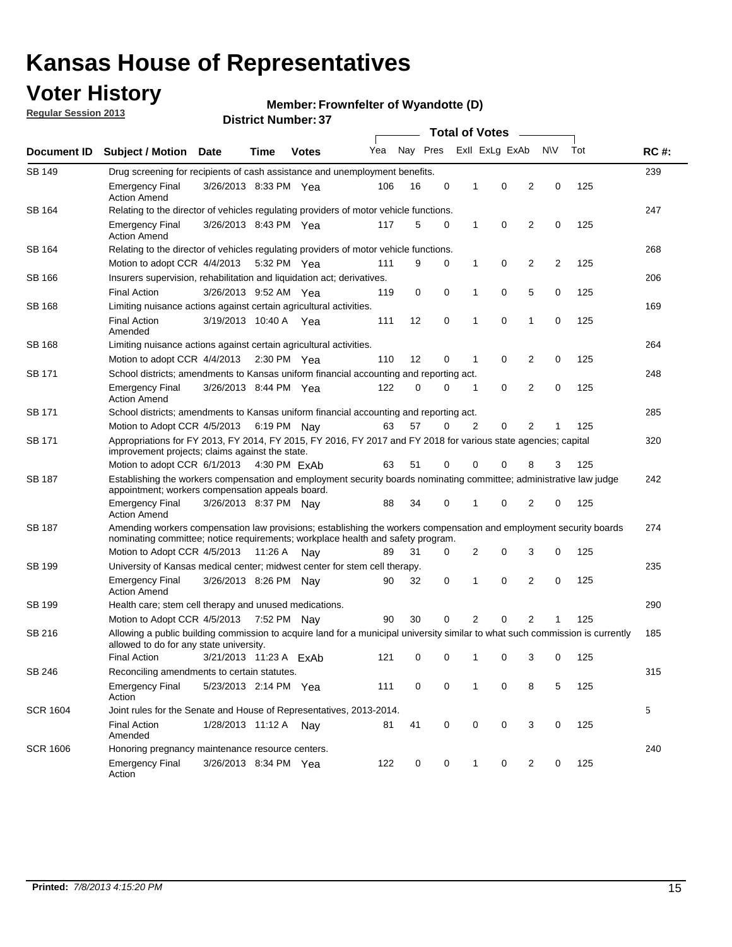## **Voter History**

**Member: Frownfelter of Wyandotte (D)** 

**Regular Session 2013**

|                 |                                                                                                                                                                                                       |                        |                       |              | <b>Total of Votes</b> |          |   |                |   |                |           |     |             |
|-----------------|-------------------------------------------------------------------------------------------------------------------------------------------------------------------------------------------------------|------------------------|-----------------------|--------------|-----------------------|----------|---|----------------|---|----------------|-----------|-----|-------------|
| Document ID     | <b>Subject / Motion</b>                                                                                                                                                                               | <b>Date</b>            | Time                  | <b>Votes</b> | Yea                   | Nay Pres |   | Exll ExLg ExAb |   |                | <b>NV</b> | Tot | <b>RC#:</b> |
| SB 149          | 239<br>Drug screening for recipients of cash assistance and unemployment benefits.                                                                                                                    |                        |                       |              |                       |          |   |                |   |                |           |     |             |
|                 | <b>Emergency Final</b><br><b>Action Amend</b>                                                                                                                                                         | 3/26/2013 8:33 PM Yea  |                       |              | 106                   | 16       | 0 | 1              | 0 | 2              | 0         | 125 |             |
| SB 164          | Relating to the director of vehicles regulating providers of motor vehicle functions.                                                                                                                 |                        |                       |              |                       |          |   |                |   |                |           |     | 247         |
|                 | Emergency Final<br><b>Action Amend</b>                                                                                                                                                                | 3/26/2013 8:43 PM Yea  |                       |              | 117                   | 5        | 0 | 1              | 0 | $\overline{2}$ | 0         | 125 |             |
| SB 164          | Relating to the director of vehicles regulating providers of motor vehicle functions.                                                                                                                 |                        |                       |              |                       |          |   |                |   |                |           |     | 268         |
|                 | Motion to adopt CCR 4/4/2013                                                                                                                                                                          |                        | 5:32 PM Yea           |              | 111                   | 9        | 0 | $\mathbf{1}$   | 0 | 2              | 2         | 125 |             |
| SB 166          | Insurers supervision, rehabilitation and liquidation act; derivatives.                                                                                                                                |                        |                       |              |                       |          |   |                |   |                |           |     | 206         |
|                 | <b>Final Action</b>                                                                                                                                                                                   | 3/26/2013 9:52 AM Yea  |                       |              | 119                   | 0        | 0 | 1              | 0 | 5              | 0         | 125 |             |
| SB 168          | Limiting nuisance actions against certain agricultural activities.                                                                                                                                    |                        |                       |              |                       |          |   |                |   |                |           |     | 169         |
|                 | Final Action<br>Amended                                                                                                                                                                               | 3/19/2013 10:40 A Yea  |                       |              | 111                   | 12       | 0 | 1              | 0 | 1              | 0         | 125 |             |
| SB 168          | Limiting nuisance actions against certain agricultural activities.                                                                                                                                    |                        |                       |              |                       |          |   |                |   |                |           |     | 264         |
|                 | Motion to adopt CCR 4/4/2013                                                                                                                                                                          |                        | $2:30 \text{ PM}$ Yea |              | 110                   | 12       | 0 | 1              | 0 | $\overline{2}$ | 0         | 125 |             |
| SB 171          | School districts; amendments to Kansas uniform financial accounting and reporting act.                                                                                                                |                        |                       |              |                       |          |   |                |   |                |           |     | 248         |
|                 | <b>Emergency Final</b><br><b>Action Amend</b>                                                                                                                                                         | 3/26/2013 8:44 PM Yea  |                       |              | 122                   | 0        | 0 | 1              | 0 | $\overline{2}$ | 0         | 125 |             |
| SB 171          | School districts; amendments to Kansas uniform financial accounting and reporting act.                                                                                                                |                        |                       |              |                       |          |   |                |   |                |           |     | 285         |
|                 | Motion to Adopt CCR 4/5/2013 6:19 PM Nay                                                                                                                                                              |                        |                       |              | 63                    | 57       | 0 | 2              | 0 | $\overline{2}$ | 1         | 125 |             |
| SB 171          | Appropriations for FY 2013, FY 2014, FY 2015, FY 2016, FY 2017 and FY 2018 for various state agencies; capital<br>improvement projects; claims against the state.                                     |                        |                       |              |                       |          |   |                |   |                |           |     | 320         |
|                 | Motion to adopt CCR 6/1/2013                                                                                                                                                                          |                        | 4:30 PM ExAb          |              | 63                    | 51       | 0 | 0              | 0 | 8              | 3         | 125 |             |
| SB 187          | Establishing the workers compensation and employment security boards nominating committee; administrative law judge<br>appointment; workers compensation appeals board.                               |                        |                       |              |                       |          |   |                |   |                |           |     | 242         |
|                 | <b>Emergency Final</b><br>Action Amend                                                                                                                                                                | 3/26/2013 8:37 PM Nay  |                       |              | 88                    | 34       | 0 | 1              | 0 | 2              | 0         | 125 |             |
| SB 187          | Amending workers compensation law provisions; establishing the workers compensation and employment security boards<br>nominating committee; notice requirements; workplace health and safety program. |                        |                       |              |                       |          |   |                |   |                |           |     | 274         |
|                 | Motion to Adopt CCR 4/5/2013                                                                                                                                                                          |                        | 11:26 A               | Nav          | 89                    | 31       | 0 | 2              | 0 | 3              | 0         | 125 |             |
| SB 199          | University of Kansas medical center; midwest center for stem cell therapy.                                                                                                                            |                        |                       |              |                       |          |   |                |   |                |           |     | 235         |
|                 | <b>Emergency Final</b><br><b>Action Amend</b>                                                                                                                                                         | 3/26/2013 8:26 PM Nay  |                       |              | 90                    | 32       | 0 | 1              | 0 | 2              | 0         | 125 |             |
| SB 199          | Health care; stem cell therapy and unused medications.                                                                                                                                                |                        |                       |              |                       |          |   |                |   |                |           |     | 290         |
|                 | Motion to Adopt CCR 4/5/2013                                                                                                                                                                          |                        | 7:52 PM Nay           |              | 90                    | 30       | 0 | 2              | 0 | $\overline{2}$ | 1         | 125 |             |
| SB 216          | Allowing a public building commission to acquire land for a municipal university similar to what such commission is currently<br>allowed to do for any state university.                              |                        |                       |              |                       |          |   |                |   |                |           |     | 185         |
|                 | <b>Final Action</b>                                                                                                                                                                                   | 3/21/2013 11:23 A ExAb |                       |              | 121                   | 0        | 0 | 1              | 0 | 3              | 0         | 125 |             |
| SB 246          | Reconciling amendments to certain statutes.                                                                                                                                                           |                        |                       |              |                       |          |   |                |   |                |           |     | 315         |
|                 | <b>Emergency Final</b><br>Action                                                                                                                                                                      | 5/23/2013 2:14 PM Yea  |                       |              | 111                   | 0        | 0 | 1              | 0 | 8              | 5         | 125 |             |
| <b>SCR 1604</b> | Joint rules for the Senate and House of Representatives, 2013-2014.                                                                                                                                   |                        |                       |              |                       |          |   |                |   |                |           |     | 5           |
|                 | <b>Final Action</b><br>Amended                                                                                                                                                                        | 1/28/2013 11:12 A      |                       | Nay          | 81                    | 41       | 0 | 0              | 0 | 3              | 0         | 125 |             |
| <b>SCR 1606</b> | Honoring pregnancy maintenance resource centers.                                                                                                                                                      |                        |                       |              |                       |          |   |                |   |                |           |     | 240         |
|                 | Emergency Final<br>Action                                                                                                                                                                             | 3/26/2013 8:34 PM Yea  |                       |              | 122                   | 0        | 0 | 1              | 0 | 2              | 0         | 125 |             |